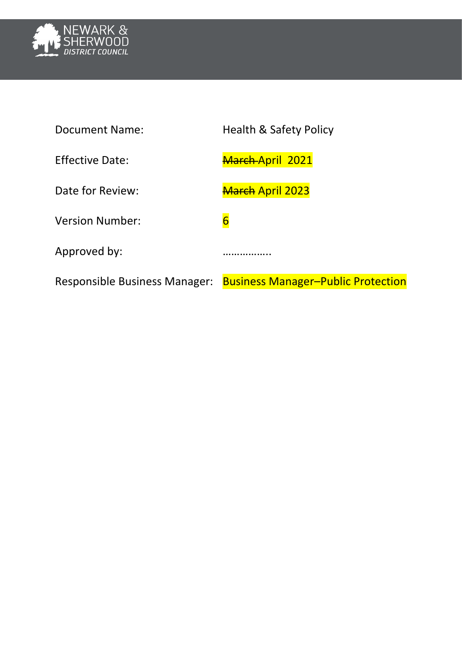

| <b>Document Name:</b>                | <b>Health &amp; Safety Policy</b>         |
|--------------------------------------|-------------------------------------------|
| <b>Effective Date:</b>               | March-April 2021                          |
| Date for Review:                     | <b>March April 2023</b>                   |
| <b>Version Number:</b>               | 6                                         |
| Approved by:                         |                                           |
| <b>Responsible Business Manager:</b> | <b>Business Manager-Public Protection</b> |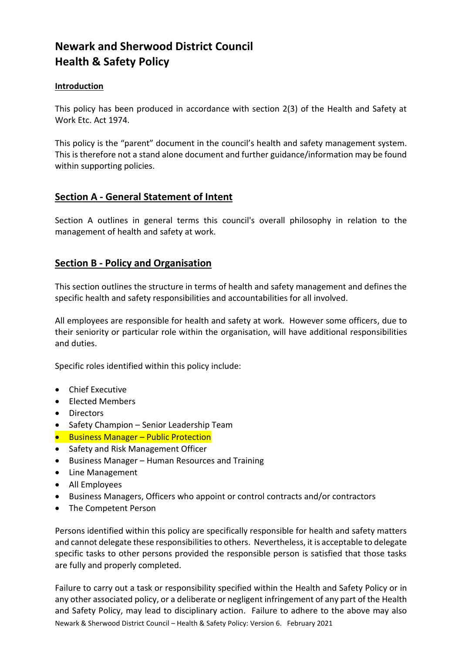# **Newark and Sherwood District Council Health & Safety Policy**

# **Introduction**

This policy has been produced in accordance with section 2(3) of the Health and Safety at Work Etc. Act 1974.

This policy is the "parent" document in the council's health and safety management system. This is therefore not a stand alone document and further guidance/information may be found within supporting policies.

# **Section A - General Statement of Intent**

Section A outlines in general terms this council's overall philosophy in relation to the management of health and safety at work.

# **Section B - Policy and Organisation**

This section outlines the structure in terms of health and safety management and defines the specific health and safety responsibilities and accountabilities for all involved.

All employees are responsible for health and safety at work. However some officers, due to their seniority or particular role within the organisation, will have additional responsibilities and duties.

Specific roles identified within this policy include:

- Chief Executive
- Flected Members
- Directors
- Safety Champion Senior Leadership Team
- **•** Business Manager Public Protection
- Safety and Risk Management Officer
- Business Manager Human Resources and Training
- Line Management
- All Employees
- Business Managers, Officers who appoint or control contracts and/or contractors
- The Competent Person

Persons identified within this policy are specifically responsible for health and safety matters and cannot delegate these responsibilities to others. Nevertheless, it is acceptable to delegate specific tasks to other persons provided the responsible person is satisfied that those tasks are fully and properly completed.

Newark & Sherwood District Council – Health & Safety Policy: Version 6. February 2021 Failure to carry out a task or responsibility specified within the Health and Safety Policy or in any other associated policy, or a deliberate or negligent infringement of any part of the Health and Safety Policy, may lead to disciplinary action. Failure to adhere to the above may also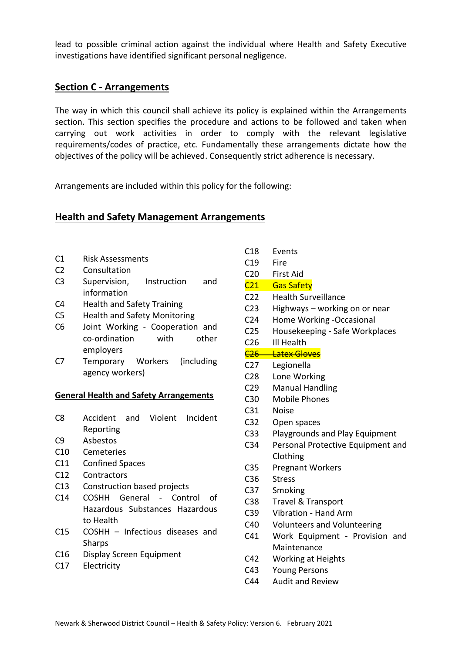lead to possible criminal action against the individual where Health and Safety Executive investigations have identified significant personal negligence.

# **Section C - Arrangements**

The way in which this council shall achieve its policy is explained within the Arrangements section. This section specifies the procedure and actions to be followed and taken when carrying out work activities in order to comply with the relevant legislative requirements/codes of practice, etc. Fundamentally these arrangements dictate how the objectives of the policy will be achieved. Consequently strict adherence is necessary.

Arrangements are included within this policy for the following:

# **Health and Safety Management Arrangements**

- C1 Risk Assessments
- C2 Consultation
- C3 Supervision, Instruction and information
- C4 Health and Safety Training
- C5 Health and Safety Monitoring
- C6 Joint Working Cooperation and co-ordination with other employers
- C7 Temporary Workers (including agency workers)

#### **General Health and Safety Arrangements**

- C8 Accident and Violent Incident Reporting
- C9 Asbestos
- C10 Cemeteries
- C11 Confined Spaces
- C12 Contractors
- C13 Construction based projects
- C14 COSHH General Control of Hazardous Substances Hazardous to Health
- C15 COSHH Infectious diseases and Sharps
- C16 Display Screen Equipment
- C17 Electricity
- C18 Events
- C19 Fire
- C20 First Aid
- C21 Gas Safety
- C22 Health Surveillance
- C23 Highways working on or near
- C24 Home Working -Occasional
- C25 Housekeeping Safe Workplaces
- C26 Ill Health
- C<sub>26</sub> Latex Gloves
- C27 Legionella
- C28 Lone Working
- C29 Manual Handling
- C30 Mobile Phones
- C31 Noise
- C32 Open spaces
- C33 Playgrounds and Play Equipment
- C34 Personal Protective Equipment and Clothing
- C35 Pregnant Workers
- C36 Stress
- C37 Smoking
- C38 Travel & Transport
- C39 Vibration Hand Arm
- C40 Volunteers and Volunteering
- C41 Work Equipment Provision and Maintenance
- C42 Working at Heights
- C43 Young Persons
- C44 Audit and Review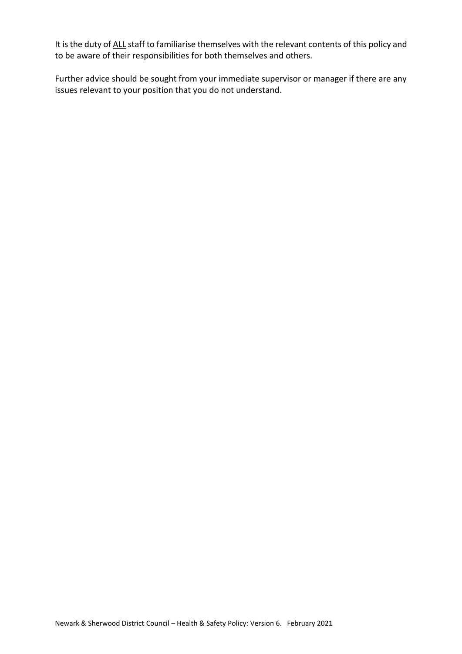It is the duty of ALL staff to familiarise themselves with the relevant contents of this policy and to be aware of their responsibilities for both themselves and others.

Further advice should be sought from your immediate supervisor or manager if there are any issues relevant to your position that you do not understand.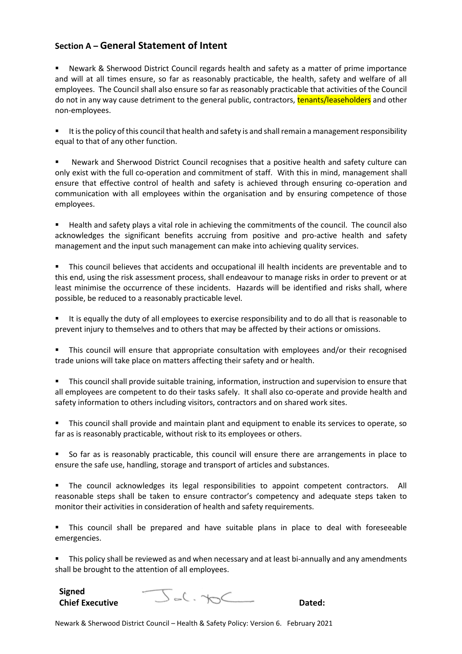# **Section A – General Statement of Intent**

 Newark & Sherwood District Council regards health and safety as a matter of prime importance and will at all times ensure, so far as reasonably practicable, the health, safety and welfare of all employees. The Council shall also ensure so far as reasonably practicable that activities of the Council do not in any way cause detriment to the general public, contractors, **tenants/leaseholders** and other non-employees.

 It is the policy of this council that health and safety is and shall remain a management responsibility equal to that of any other function.

 Newark and Sherwood District Council recognises that a positive health and safety culture can only exist with the full co-operation and commitment of staff. With this in mind, management shall ensure that effective control of health and safety is achieved through ensuring co-operation and communication with all employees within the organisation and by ensuring competence of those employees.

 Health and safety plays a vital role in achieving the commitments of the council. The council also acknowledges the significant benefits accruing from positive and pro-active health and safety management and the input such management can make into achieving quality services.

 This council believes that accidents and occupational ill health incidents are preventable and to this end, using the risk assessment process, shall endeavour to manage risks in order to prevent or at least minimise the occurrence of these incidents. Hazards will be identified and risks shall, where possible, be reduced to a reasonably practicable level.

 It is equally the duty of all employees to exercise responsibility and to do all that is reasonable to prevent injury to themselves and to others that may be affected by their actions or omissions.

 This council will ensure that appropriate consultation with employees and/or their recognised trade unions will take place on matters affecting their safety and or health.

 This council shall provide suitable training, information, instruction and supervision to ensure that all employees are competent to do their tasks safely. It shall also co-operate and provide health and safety information to others including visitors, contractors and on shared work sites.

 This council shall provide and maintain plant and equipment to enable its services to operate, so far as is reasonably practicable, without risk to its employees or others.

 So far as is reasonably practicable, this council will ensure there are arrangements in place to ensure the safe use, handling, storage and transport of articles and substances.

 The council acknowledges its legal responsibilities to appoint competent contractors. All reasonable steps shall be taken to ensure contractor's competency and adequate steps taken to monitor their activities in consideration of health and safety requirements.

 This council shall be prepared and have suitable plans in place to deal with foreseeable emergencies.

 This policy shall be reviewed as and when necessary and at least bi-annually and any amendments shall be brought to the attention of all employees.

**Signed**



Newark & Sherwood District Council – Health & Safety Policy: Version 6. February 2021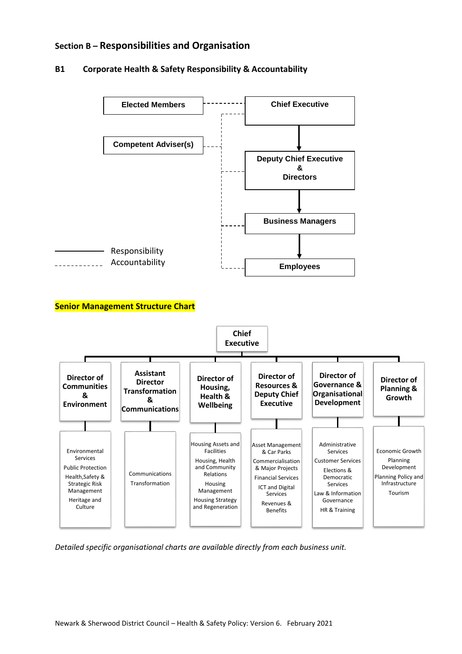# **Section B – Responsibilities and Organisation**

#### **B1 Corporate Health & Safety Responsibility & Accountability**



*Detailed specific organisational charts are available directly from each business unit.*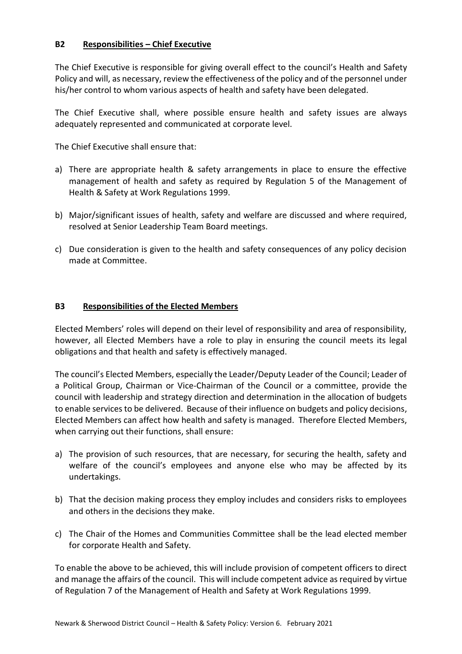# **B2 Responsibilities – Chief Executive**

The Chief Executive is responsible for giving overall effect to the council's Health and Safety Policy and will, as necessary, review the effectiveness of the policy and of the personnel under his/her control to whom various aspects of health and safety have been delegated.

The Chief Executive shall, where possible ensure health and safety issues are always adequately represented and communicated at corporate level.

The Chief Executive shall ensure that:

- a) There are appropriate health & safety arrangements in place to ensure the effective management of health and safety as required by Regulation 5 of the Management of Health & Safety at Work Regulations 1999.
- b) Major/significant issues of health, safety and welfare are discussed and where required, resolved at Senior Leadership Team Board meetings.
- c) Due consideration is given to the health and safety consequences of any policy decision made at Committee.

#### **B3 Responsibilities of the Elected Members**

Elected Members' roles will depend on their level of responsibility and area of responsibility, however, all Elected Members have a role to play in ensuring the council meets its legal obligations and that health and safety is effectively managed.

The council's Elected Members, especially the Leader/Deputy Leader of the Council; Leader of a Political Group, Chairman or Vice-Chairman of the Council or a committee, provide the council with leadership and strategy direction and determination in the allocation of budgets to enable services to be delivered. Because of their influence on budgets and policy decisions, Elected Members can affect how health and safety is managed. Therefore Elected Members, when carrying out their functions, shall ensure:

- a) The provision of such resources, that are necessary, for securing the health, safety and welfare of the council's employees and anyone else who may be affected by its undertakings.
- b) That the decision making process they employ includes and considers risks to employees and others in the decisions they make.
- c) The Chair of the Homes and Communities Committee shall be the lead elected member for corporate Health and Safety.

To enable the above to be achieved, this will include provision of competent officers to direct and manage the affairs of the council. This will include competent advice as required by virtue of Regulation 7 of the Management of Health and Safety at Work Regulations 1999.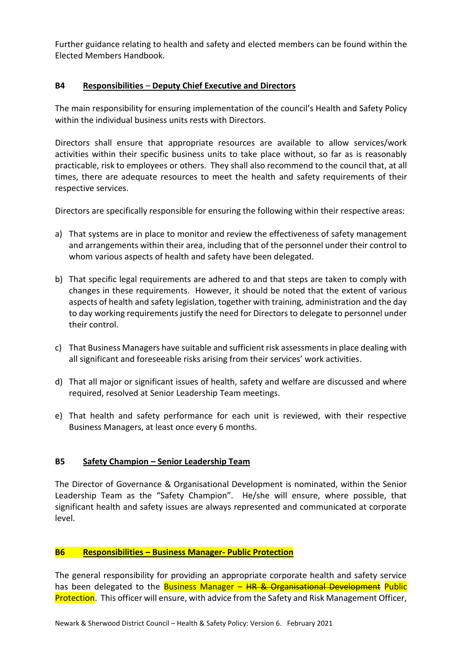Further guidance relating to health and safety and elected members can be found within the Elected Members Handbook.

# **B4 Responsibilities** – **Deputy Chief Executive and Directors**

The main responsibility for ensuring implementation of the council's Health and Safety Policy within the individual business units rests with Directors.

Directors shall ensure that appropriate resources are available to allow services/work activities within their specific business units to take place without, so far as is reasonably practicable, risk to employees or others. They shall also recommend to the council that, at all times, there are adequate resources to meet the health and safety requirements of their respective services.

Directors are specifically responsible for ensuring the following within their respective areas:

- a) That systems are in place to monitor and review the effectiveness of safety management and arrangements within their area, including that of the personnel under their control to whom various aspects of health and safety have been delegated.
- b) That specific legal requirements are adhered to and that steps are taken to comply with changes in these requirements. However, it should be noted that the extent of various aspects of health and safety legislation, together with training, administration and the day to day working requirements justify the need for Directors to delegate to personnel under their control.
- c) That Business Managers have suitable and sufficient risk assessments in place dealing with all significant and foreseeable risks arising from their services' work activities.
- d) That all major or significant issues of health, safety and welfare are discussed and where required, resolved at Senior Leadership Team meetings.
- e) That health and safety performance for each unit is reviewed, with their respective Business Managers, at least once every 6 months.

# **B5 Safety Champion – Senior Leadership Team**

The Director of Governance & Organisational Development is nominated, within the Senior Leadership Team as the "Safety Champion". He/she will ensure, where possible, that significant health and safety issues are always represented and communicated at corporate level.

#### **B6 Responsibilities – Business Manager- Public Protection**

The general responsibility for providing an appropriate corporate health and safety service has been delegated to the Business Manager – HR & Organisational Development Public Protection. This officer will ensure, with advice from the Safety and Risk Management Officer,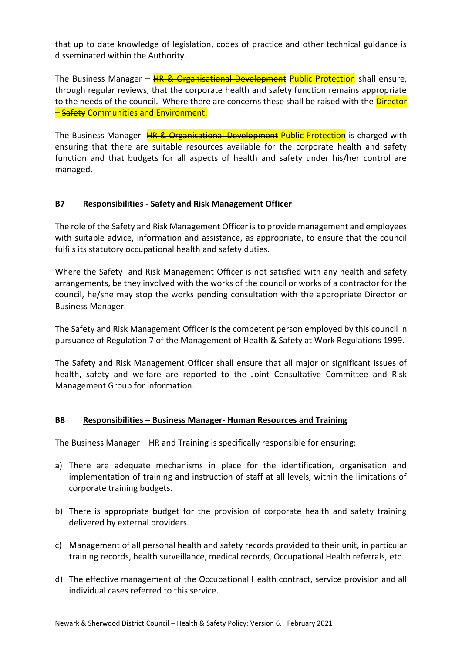that up to date knowledge of legislation, codes of practice and other technical guidance is disseminated within the Authority.

The Business Manager – HR & Organisational Development Public Protection shall ensure, through regular reviews, that the corporate health and safety function remains appropriate to the needs of the council. Where there are concerns these shall be raised with the Director **– Safety Communities and Environment.** 

The Business Manager- **HR & Organisational Development Public Protection** is charged with ensuring that there are suitable resources available for the corporate health and safety function and that budgets for all aspects of health and safety under his/her control are managed.

# **B7 Responsibilities - Safety and Risk Management Officer**

The role of the Safety and Risk Management Officer is to provide management and employees with suitable advice, information and assistance, as appropriate, to ensure that the council fulfils its statutory occupational health and safety duties.

Where the Safety and Risk Management Officer is not satisfied with any health and safety arrangements, be they involved with the works of the council or works of a contractor for the council, he/she may stop the works pending consultation with the appropriate Director or Business Manager.

The Safety and Risk Management Officer is the competent person employed by this council in pursuance of Regulation 7 of the Management of Health & Safety at Work Regulations 1999.

The Safety and Risk Management Officer shall ensure that all major or significant issues of health, safety and welfare are reported to the Joint Consultative Committee and Risk Management Group for information.

#### **B8 Responsibilities – Business Manager- Human Resources and Training**

The Business Manager – HR and Training is specifically responsible for ensuring:

- a) There are adequate mechanisms in place for the identification, organisation and implementation of training and instruction of staff at all levels, within the limitations of corporate training budgets.
- b) There is appropriate budget for the provision of corporate health and safety training delivered by external providers.
- c) Management of all personal health and safety records provided to their unit, in particular training records, health surveillance, medical records, Occupational Health referrals, etc.
- d) The effective management of the Occupational Health contract, service provision and all individual cases referred to this service.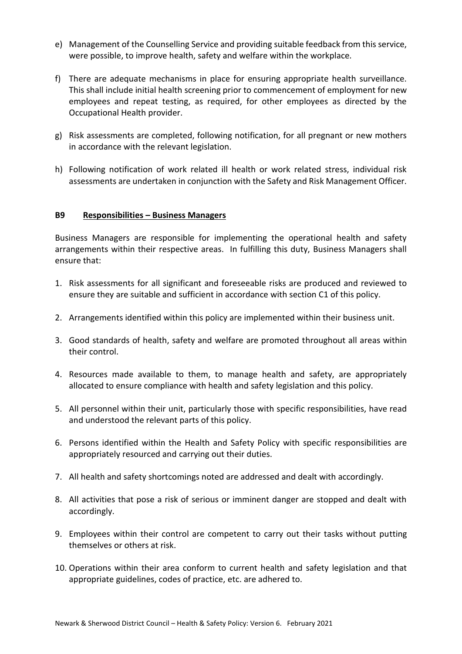- e) Management of the Counselling Service and providing suitable feedback from this service, were possible, to improve health, safety and welfare within the workplace.
- f) There are adequate mechanisms in place for ensuring appropriate health surveillance. This shall include initial health screening prior to commencement of employment for new employees and repeat testing, as required, for other employees as directed by the Occupational Health provider.
- g) Risk assessments are completed, following notification, for all pregnant or new mothers in accordance with the relevant legislation.
- h) Following notification of work related ill health or work related stress, individual risk assessments are undertaken in conjunction with the Safety and Risk Management Officer.

#### **B9 Responsibilities – Business Managers**

Business Managers are responsible for implementing the operational health and safety arrangements within their respective areas. In fulfilling this duty, Business Managers shall ensure that:

- 1. Risk assessments for all significant and foreseeable risks are produced and reviewed to ensure they are suitable and sufficient in accordance with section C1 of this policy.
- 2. Arrangements identified within this policy are implemented within their business unit.
- 3. Good standards of health, safety and welfare are promoted throughout all areas within their control.
- 4. Resources made available to them, to manage health and safety, are appropriately allocated to ensure compliance with health and safety legislation and this policy.
- 5. All personnel within their unit, particularly those with specific responsibilities, have read and understood the relevant parts of this policy.
- 6. Persons identified within the Health and Safety Policy with specific responsibilities are appropriately resourced and carrying out their duties.
- 7. All health and safety shortcomings noted are addressed and dealt with accordingly.
- 8. All activities that pose a risk of serious or imminent danger are stopped and dealt with accordingly.
- 9. Employees within their control are competent to carry out their tasks without putting themselves or others at risk.
- 10. Operations within their area conform to current health and safety legislation and that appropriate guidelines, codes of practice, etc. are adhered to.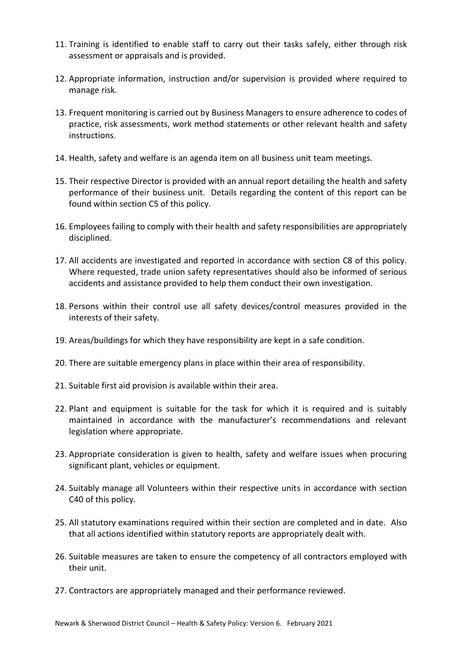- 11. Training is identified to enable staff to carry out their tasks safely, either through risk assessment or appraisals and is provided.
- 12. Appropriate information, instruction and/or supervision is provided where required to manage risk.
- 13. Frequent monitoring is carried out by Business Managers to ensure adherence to codes of practice, risk assessments, work method statements or other relevant health and safety instructions.
- 14. Health, safety and welfare is an agenda item on all business unit team meetings.
- 15. Their respective Director is provided with an annual report detailing the health and safety performance of their business unit. Details regarding the content of this report can be found within section C5 of this policy.
- 16. Employees failing to comply with their health and safety responsibilities are appropriately disciplined.
- 17. All accidents are investigated and reported in accordance with section C8 of this policy. Where requested, trade union safety representatives should also be informed of serious accidents and assistance provided to help them conduct their own investigation.
- 18. Persons within their control use all safety devices/control measures provided in the interests of their safety.
- 19. Areas/buildings for which they have responsibility are kept in a safe condition.
- 20. There are suitable emergency plans in place within their area of responsibility.
- 21. Suitable first aid provision is available within their area.
- 22. Plant and equipment is suitable for the task for which it is required and is suitably maintained in accordance with the manufacturer's recommendations and relevant legislation where appropriate.
- 23. Appropriate consideration is given to health, safety and welfare issues when procuring significant plant, vehicles or equipment.
- 24. Suitably manage all Volunteers within their respective units in accordance with section C40 of this policy.
- 25. All statutory examinations required within their section are completed and in date. Also that all actions identified within statutory reports are appropriately dealt with.
- 26. Suitable measures are taken to ensure the competency of all contractors employed with their unit.
- 27. Contractors are appropriately managed and their performance reviewed.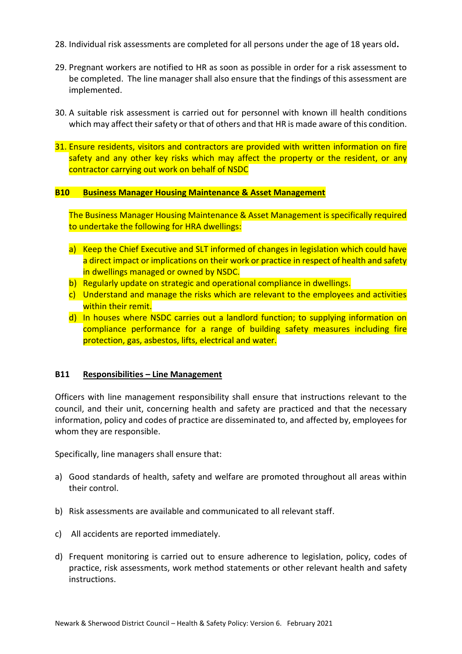- 28. Individual risk assessments are completed for all persons under the age of 18 years old**.**
- 29. Pregnant workers are notified to HR as soon as possible in order for a risk assessment to be completed. The line manager shall also ensure that the findings of this assessment are implemented.
- 30. A suitable risk assessment is carried out for personnel with known ill health conditions which may affect their safety or that of others and that HR is made aware of this condition.
- 31. Ensure residents, visitors and contractors are provided with written information on fire safety and any other key risks which may affect the property or the resident, or any contractor carrying out work on behalf of NSDC

#### **B10 Business Manager Housing Maintenance & Asset Management**

The Business Manager Housing Maintenance & Asset Management is specifically required to undertake the following for HRA dwellings:

- a) Keep the Chief Executive and SLT informed of changes in legislation which could have a direct impact or implications on their work or practice in respect of health and safety in dwellings managed or owned by NSDC.
- b) Regularly update on strategic and operational compliance in dwellings.
- c) Understand and manage the risks which are relevant to the employees and activities within their remit.
- d) In houses where NSDC carries out a landlord function; to supplying information on compliance performance for a range of building safety measures including fire protection, gas, asbestos, lifts, electrical and water.

#### **B11 Responsibilities – Line Management**

Officers with line management responsibility shall ensure that instructions relevant to the council, and their unit, concerning health and safety are practiced and that the necessary information, policy and codes of practice are disseminated to, and affected by, employees for whom they are responsible.

Specifically, line managers shall ensure that:

- a) Good standards of health, safety and welfare are promoted throughout all areas within their control.
- b) Risk assessments are available and communicated to all relevant staff.
- c) All accidents are reported immediately.
- d) Frequent monitoring is carried out to ensure adherence to legislation, policy, codes of practice, risk assessments, work method statements or other relevant health and safety instructions.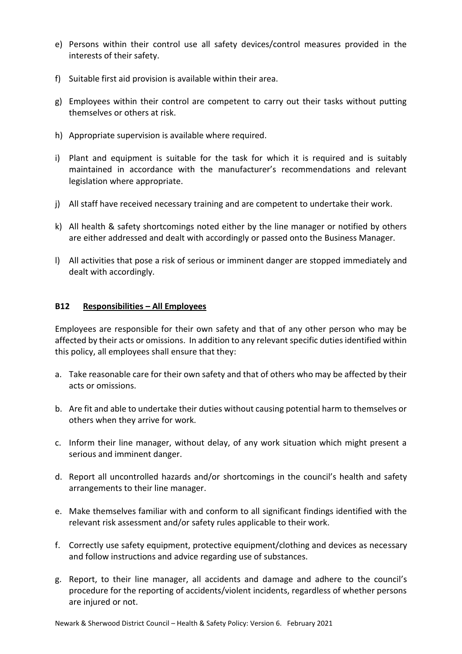- e) Persons within their control use all safety devices/control measures provided in the interests of their safety.
- f) Suitable first aid provision is available within their area.
- g) Employees within their control are competent to carry out their tasks without putting themselves or others at risk.
- h) Appropriate supervision is available where required.
- i) Plant and equipment is suitable for the task for which it is required and is suitably maintained in accordance with the manufacturer's recommendations and relevant legislation where appropriate.
- j) All staff have received necessary training and are competent to undertake their work.
- k) All health & safety shortcomings noted either by the line manager or notified by others are either addressed and dealt with accordingly or passed onto the Business Manager.
- l) All activities that pose a risk of serious or imminent danger are stopped immediately and dealt with accordingly.

#### **B12 Responsibilities – All Employees**

Employees are responsible for their own safety and that of any other person who may be affected by their acts or omissions. In addition to any relevant specific duties identified within this policy, all employees shall ensure that they:

- a. Take reasonable care for their own safety and that of others who may be affected by their acts or omissions.
- b. Are fit and able to undertake their duties without causing potential harm to themselves or others when they arrive for work.
- c. Inform their line manager, without delay, of any work situation which might present a serious and imminent danger.
- d. Report all uncontrolled hazards and/or shortcomings in the council's health and safety arrangements to their line manager.
- e. Make themselves familiar with and conform to all significant findings identified with the relevant risk assessment and/or safety rules applicable to their work.
- f. Correctly use safety equipment, protective equipment/clothing and devices as necessary and follow instructions and advice regarding use of substances.
- g. Report, to their line manager, all accidents and damage and adhere to the council's procedure for the reporting of accidents/violent incidents, regardless of whether persons are injured or not.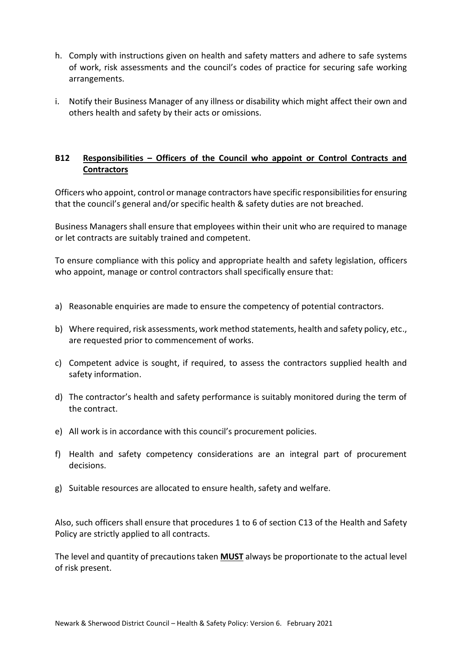- h. Comply with instructions given on health and safety matters and adhere to safe systems of work, risk assessments and the council's codes of practice for securing safe working arrangements.
- i. Notify their Business Manager of any illness or disability which might affect their own and others health and safety by their acts or omissions.

# **B12 Responsibilities – Officers of the Council who appoint or Control Contracts and Contractors**

Officers who appoint, control or manage contractors have specific responsibilities for ensuring that the council's general and/or specific health & safety duties are not breached.

Business Managers shall ensure that employees within their unit who are required to manage or let contracts are suitably trained and competent.

To ensure compliance with this policy and appropriate health and safety legislation, officers who appoint, manage or control contractors shall specifically ensure that:

- a) Reasonable enquiries are made to ensure the competency of potential contractors.
- b) Where required, risk assessments, work method statements, health and safety policy, etc., are requested prior to commencement of works.
- c) Competent advice is sought, if required, to assess the contractors supplied health and safety information.
- d) The contractor's health and safety performance is suitably monitored during the term of the contract.
- e) All work is in accordance with this council's procurement policies.
- f) Health and safety competency considerations are an integral part of procurement decisions.
- g) Suitable resources are allocated to ensure health, safety and welfare.

Also, such officers shall ensure that procedures 1 to 6 of section C13 of the Health and Safety Policy are strictly applied to all contracts.

The level and quantity of precautions taken **MUST** always be proportionate to the actual level of risk present.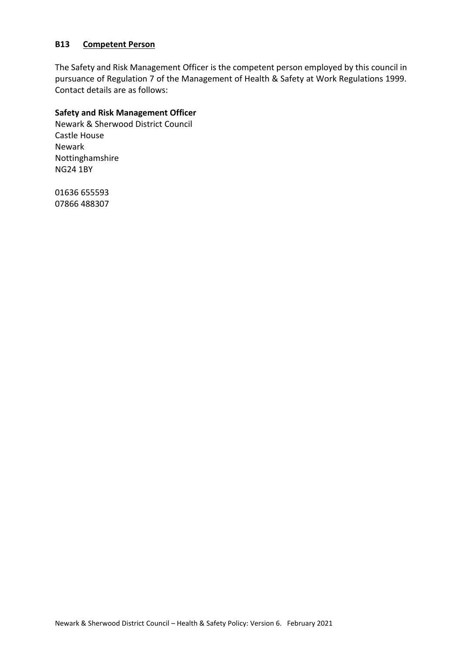#### **B13 Competent Person**

The Safety and Risk Management Officer is the competent person employed by this council in pursuance of Regulation 7 of the Management of Health & Safety at Work Regulations 1999. Contact details are as follows:

# **Safety and Risk Management Officer**

Newark & Sherwood District Council Castle House Newark Nottinghamshire NG24 1BY

01636 655593 07866 488307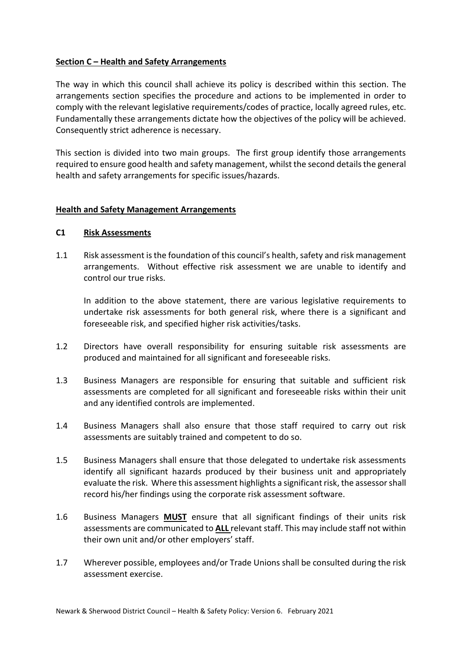# **Section C – Health and Safety Arrangements**

The way in which this council shall achieve its policy is described within this section. The arrangements section specifies the procedure and actions to be implemented in order to comply with the relevant legislative requirements/codes of practice, locally agreed rules, etc. Fundamentally these arrangements dictate how the objectives of the policy will be achieved. Consequently strict adherence is necessary.

This section is divided into two main groups. The first group identify those arrangements required to ensure good health and safety management, whilst the second details the general health and safety arrangements for specific issues/hazards.

#### **Health and Safety Management Arrangements**

#### **C1 Risk Assessments**

1.1 Risk assessment is the foundation of this council's health, safety and risk management arrangements. Without effective risk assessment we are unable to identify and control our true risks.

In addition to the above statement, there are various legislative requirements to undertake risk assessments for both general risk, where there is a significant and foreseeable risk, and specified higher risk activities/tasks.

- 1.2 Directors have overall responsibility for ensuring suitable risk assessments are produced and maintained for all significant and foreseeable risks.
- 1.3 Business Managers are responsible for ensuring that suitable and sufficient risk assessments are completed for all significant and foreseeable risks within their unit and any identified controls are implemented.
- 1.4 Business Managers shall also ensure that those staff required to carry out risk assessments are suitably trained and competent to do so.
- 1.5 Business Managers shall ensure that those delegated to undertake risk assessments identify all significant hazards produced by their business unit and appropriately evaluate the risk. Where this assessment highlights a significant risk, the assessor shall record his/her findings using the corporate risk assessment software.
- 1.6 Business Managers **MUST** ensure that all significant findings of their units risk assessments are communicated to **ALL** relevant staff. This may include staff not within their own unit and/or other employers' staff.
- 1.7 Wherever possible, employees and/or Trade Unions shall be consulted during the risk assessment exercise.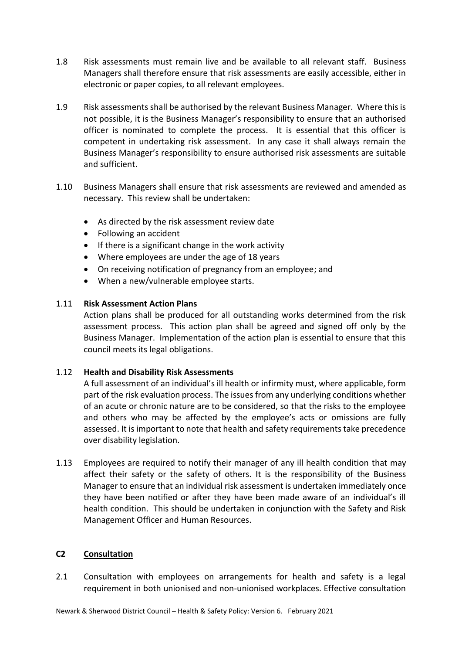- 1.8 Risk assessments must remain live and be available to all relevant staff. Business Managers shall therefore ensure that risk assessments are easily accessible, either in electronic or paper copies, to all relevant employees.
- 1.9 Risk assessments shall be authorised by the relevant Business Manager. Where this is not possible, it is the Business Manager's responsibility to ensure that an authorised officer is nominated to complete the process. It is essential that this officer is competent in undertaking risk assessment. In any case it shall always remain the Business Manager's responsibility to ensure authorised risk assessments are suitable and sufficient.
- 1.10 Business Managers shall ensure that risk assessments are reviewed and amended as necessary. This review shall be undertaken:
	- As directed by the risk assessment review date
	- Following an accident
	- If there is a significant change in the work activity
	- Where employees are under the age of 18 years
	- On receiving notification of pregnancy from an employee; and
	- When a new/vulnerable employee starts.

# 1.11 **Risk Assessment Action Plans**

Action plans shall be produced for all outstanding works determined from the risk assessment process. This action plan shall be agreed and signed off only by the Business Manager. Implementation of the action plan is essential to ensure that this council meets its legal obligations.

# 1.12 **Health and Disability Risk Assessments**

A full assessment of an individual's ill health or infirmity must, where applicable, form part of the risk evaluation process. The issues from any underlying conditions whether of an acute or chronic nature are to be considered, so that the risks to the employee and others who may be affected by the employee's acts or omissions are fully assessed. It is important to note that health and safety requirements take precedence over disability legislation.

1.13 Employees are required to notify their manager of any ill health condition that may affect their safety or the safety of others. It is the responsibility of the Business Manager to ensure that an individual risk assessment is undertaken immediately once they have been notified or after they have been made aware of an individual's ill health condition. This should be undertaken in conjunction with the Safety and Risk Management Officer and Human Resources.

#### **C2 Consultation**

2.1 Consultation with employees on arrangements for health and safety is a legal requirement in both unionised and non-unionised workplaces. Effective consultation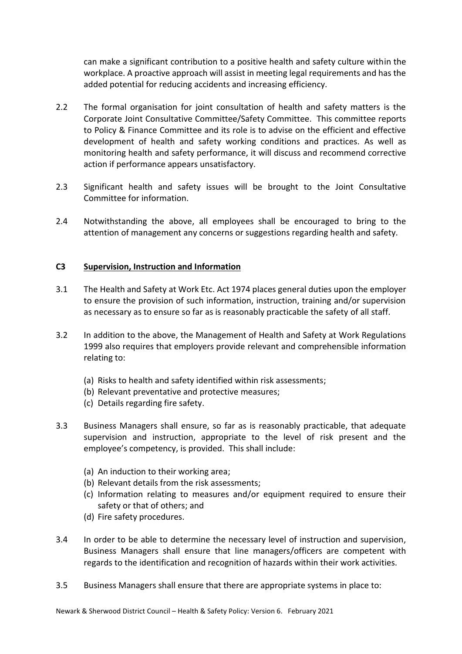can make a significant contribution to a positive health and safety culture within the workplace. A proactive approach will assist in meeting legal requirements and has the added potential for reducing accidents and increasing efficiency.

- 2.2 The formal organisation for joint consultation of health and safety matters is the Corporate Joint Consultative Committee/Safety Committee. This committee reports to Policy & Finance Committee and its role is to advise on the efficient and effective development of health and safety working conditions and practices. As well as monitoring health and safety performance, it will discuss and recommend corrective action if performance appears unsatisfactory.
- 2.3 Significant health and safety issues will be brought to the Joint Consultative Committee for information.
- 2.4 Notwithstanding the above, all employees shall be encouraged to bring to the attention of management any concerns or suggestions regarding health and safety.

# **C3 Supervision, Instruction and Information**

- 3.1 The Health and Safety at Work Etc. Act 1974 places general duties upon the employer to ensure the provision of such information, instruction, training and/or supervision as necessary as to ensure so far as is reasonably practicable the safety of all staff.
- 3.2 In addition to the above, the Management of Health and Safety at Work Regulations 1999 also requires that employers provide relevant and comprehensible information relating to:
	- (a) Risks to health and safety identified within risk assessments;
	- (b) Relevant preventative and protective measures;
	- (c) Details regarding fire safety.
- 3.3 Business Managers shall ensure, so far as is reasonably practicable, that adequate supervision and instruction, appropriate to the level of risk present and the employee's competency, is provided. This shall include:
	- (a) An induction to their working area;
	- (b) Relevant details from the risk assessments;
	- (c) Information relating to measures and/or equipment required to ensure their safety or that of others; and
	- (d) Fire safety procedures.
- 3.4 In order to be able to determine the necessary level of instruction and supervision, Business Managers shall ensure that line managers/officers are competent with regards to the identification and recognition of hazards within their work activities.
- 3.5 Business Managers shall ensure that there are appropriate systems in place to: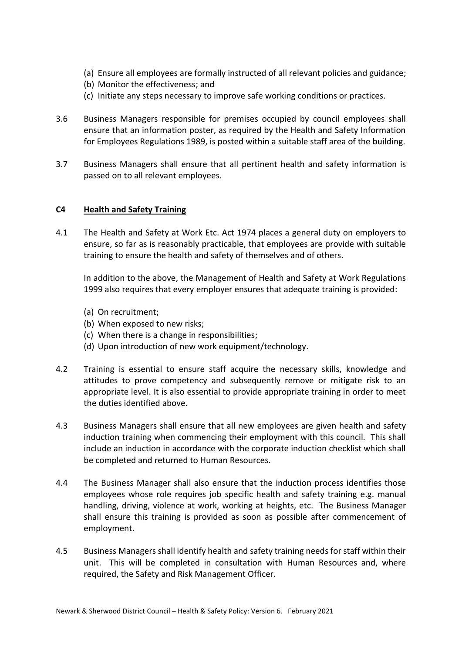- (a) Ensure all employees are formally instructed of all relevant policies and guidance;
- (b) Monitor the effectiveness; and
- (c) Initiate any steps necessary to improve safe working conditions or practices.
- 3.6 Business Managers responsible for premises occupied by council employees shall ensure that an information poster, as required by the Health and Safety Information for Employees Regulations 1989, is posted within a suitable staff area of the building.
- 3.7 Business Managers shall ensure that all pertinent health and safety information is passed on to all relevant employees.

# **C4 Health and Safety Training**

4.1 The Health and Safety at Work Etc. Act 1974 places a general duty on employers to ensure, so far as is reasonably practicable, that employees are provide with suitable training to ensure the health and safety of themselves and of others.

In addition to the above, the Management of Health and Safety at Work Regulations 1999 also requires that every employer ensures that adequate training is provided:

- (a) On recruitment;
- (b) When exposed to new risks;
- (c) When there is a change in responsibilities;
- (d) Upon introduction of new work equipment/technology.
- 4.2 Training is essential to ensure staff acquire the necessary skills, knowledge and attitudes to prove competency and subsequently remove or mitigate risk to an appropriate level. It is also essential to provide appropriate training in order to meet the duties identified above.
- 4.3 Business Managers shall ensure that all new employees are given health and safety induction training when commencing their employment with this council. This shall include an induction in accordance with the corporate induction checklist which shall be completed and returned to Human Resources.
- 4.4 The Business Manager shall also ensure that the induction process identifies those employees whose role requires job specific health and safety training e.g. manual handling, driving, violence at work, working at heights, etc. The Business Manager shall ensure this training is provided as soon as possible after commencement of employment.
- 4.5 Business Managers shall identify health and safety training needs for staff within their unit. This will be completed in consultation with Human Resources and, where required, the Safety and Risk Management Officer.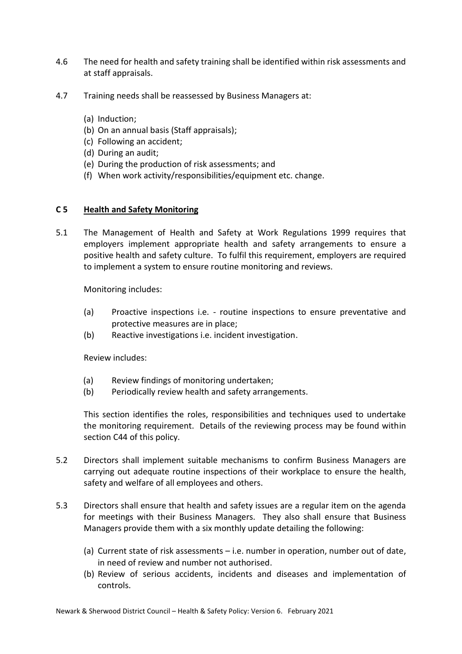- 4.6 The need for health and safety training shall be identified within risk assessments and at staff appraisals.
- 4.7 Training needs shall be reassessed by Business Managers at:
	- (a) Induction;
	- (b) On an annual basis (Staff appraisals);
	- (c) Following an accident;
	- (d) During an audit;
	- (e) During the production of risk assessments; and
	- (f) When work activity/responsibilities/equipment etc. change.

#### **C 5 Health and Safety Monitoring**

5.1 The Management of Health and Safety at Work Regulations 1999 requires that employers implement appropriate health and safety arrangements to ensure a positive health and safety culture. To fulfil this requirement, employers are required to implement a system to ensure routine monitoring and reviews.

Monitoring includes:

- (a) Proactive inspections i.e. routine inspections to ensure preventative and protective measures are in place;
- (b) Reactive investigations i.e. incident investigation.

Review includes:

- (a) Review findings of monitoring undertaken;
- (b) Periodically review health and safety arrangements.

This section identifies the roles, responsibilities and techniques used to undertake the monitoring requirement. Details of the reviewing process may be found within section C44 of this policy.

- 5.2 Directors shall implement suitable mechanisms to confirm Business Managers are carrying out adequate routine inspections of their workplace to ensure the health, safety and welfare of all employees and others.
- 5.3 Directors shall ensure that health and safety issues are a regular item on the agenda for meetings with their Business Managers. They also shall ensure that Business Managers provide them with a six monthly update detailing the following:
	- (a) Current state of risk assessments i.e. number in operation, number out of date, in need of review and number not authorised.
	- (b) Review of serious accidents, incidents and diseases and implementation of controls.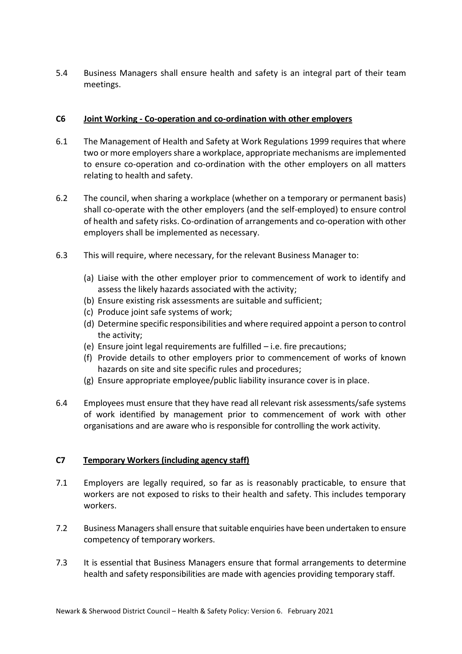5.4 Business Managers shall ensure health and safety is an integral part of their team meetings.

#### **C6 Joint Working - Co-operation and co-ordination with other employers**

- 6.1 The Management of Health and Safety at Work Regulations 1999 requires that where two or more employers share a workplace, appropriate mechanisms are implemented to ensure co-operation and co-ordination with the other employers on all matters relating to health and safety.
- 6.2 The council, when sharing a workplace (whether on a temporary or permanent basis) shall co-operate with the other employers (and the self-employed) to ensure control of health and safety risks. Co-ordination of arrangements and co-operation with other employers shall be implemented as necessary.
- 6.3 This will require, where necessary, for the relevant Business Manager to:
	- (a) Liaise with the other employer prior to commencement of work to identify and assess the likely hazards associated with the activity;
	- (b) Ensure existing risk assessments are suitable and sufficient;
	- (c) Produce joint safe systems of work;
	- (d) Determine specific responsibilities and where required appoint a person to control the activity;
	- (e) Ensure joint legal requirements are fulfilled i.e. fire precautions;
	- (f) Provide details to other employers prior to commencement of works of known hazards on site and site specific rules and procedures;
	- (g) Ensure appropriate employee/public liability insurance cover is in place.
- 6.4 Employees must ensure that they have read all relevant risk assessments/safe systems of work identified by management prior to commencement of work with other organisations and are aware who is responsible for controlling the work activity.

# **C7 Temporary Workers (including agency staff)**

- 7.1 Employers are legally required, so far as is reasonably practicable, to ensure that workers are not exposed to risks to their health and safety. This includes temporary workers.
- 7.2 Business Managers shall ensure that suitable enquiries have been undertaken to ensure competency of temporary workers.
- 7.3 It is essential that Business Managers ensure that formal arrangements to determine health and safety responsibilities are made with agencies providing temporary staff.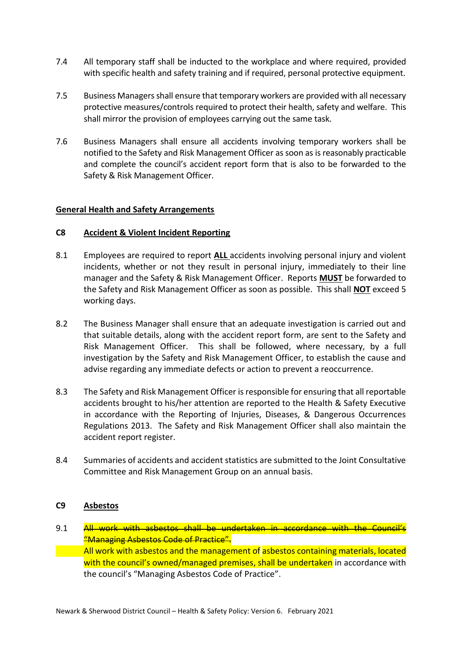- 7.4 All temporary staff shall be inducted to the workplace and where required, provided with specific health and safety training and if required, personal protective equipment.
- 7.5 Business Managers shall ensure that temporary workers are provided with all necessary protective measures/controls required to protect their health, safety and welfare. This shall mirror the provision of employees carrying out the same task.
- 7.6 Business Managers shall ensure all accidents involving temporary workers shall be notified to the Safety and Risk Management Officer as soon as is reasonably practicable and complete the council's accident report form that is also to be forwarded to the Safety & Risk Management Officer.

#### **General Health and Safety Arrangements**

#### **C8 Accident & Violent Incident Reporting**

- 8.1 Employees are required to report **ALL** accidents involving personal injury and violent incidents, whether or not they result in personal injury, immediately to their line manager and the Safety & Risk Management Officer. Reports **MUST** be forwarded to the Safety and Risk Management Officer as soon as possible. This shall **NOT** exceed 5 working days.
- 8.2 The Business Manager shall ensure that an adequate investigation is carried out and that suitable details, along with the accident report form, are sent to the Safety and Risk Management Officer. This shall be followed, where necessary, by a full investigation by the Safety and Risk Management Officer, to establish the cause and advise regarding any immediate defects or action to prevent a reoccurrence.
- 8.3 The Safety and Risk Management Officer is responsible for ensuring that all reportable accidents brought to his/her attention are reported to the Health & Safety Executive in accordance with the Reporting of Injuries, Diseases, & Dangerous Occurrences Regulations 2013. The Safety and Risk Management Officer shall also maintain the accident report register.
- 8.4 Summaries of accidents and accident statistics are submitted to the Joint Consultative Committee and Risk Management Group on an annual basis.

#### **C9 Asbestos**

9.1 All work with asbestos shall be undertaken in accordance with the Council's "Managing Asbestos Code of Practice". All work with asbestos and the management of asbestos containing materials, located with the council's owned/managed premises, shall be undertaken in accordance with the council's "Managing Asbestos Code of Practice".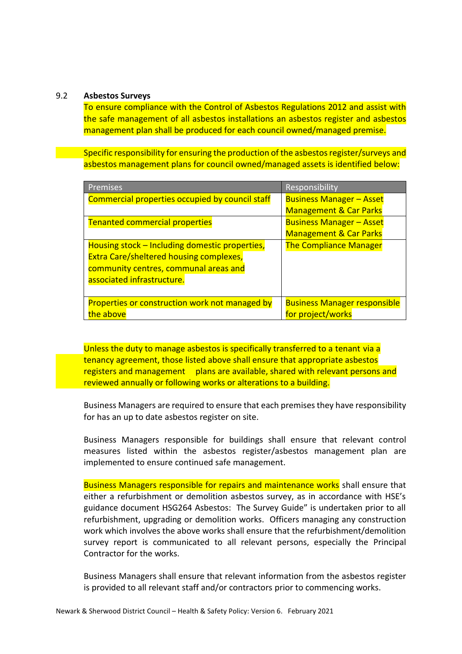#### 9.2 **Asbestos Surveys**

To ensure compliance with the Control of Asbestos Regulations 2012 and assist with the safe management of all asbestos installations an asbestos register and asbestos management plan shall be produced for each council owned/managed premise.

Specific responsibility for ensuring the production of the asbestos register/surveys and asbestos management plans for council owned/managed assets is identified below:

| Premises                                        | Responsibility                      |
|-------------------------------------------------|-------------------------------------|
| Commercial properties occupied by council staff | <b>Business Manager - Asset</b>     |
|                                                 | <b>Management &amp; Car Parks</b>   |
| <b>Tenanted commercial properties</b>           | <b>Business Manager - Asset</b>     |
|                                                 | <b>Management &amp; Car Parks</b>   |
| Housing stock – Including domestic properties,  | <b>The Compliance Manager</b>       |
| <b>Extra Care/sheltered housing complexes,</b>  |                                     |
| community centres, communal areas and           |                                     |
| associated infrastructure.                      |                                     |
|                                                 |                                     |
| Properties or construction work not managed by  | <b>Business Manager responsible</b> |
| the above                                       | for project/works                   |

Unless the duty to manage asbestos is specifically transferred to a tenant via a tenancy agreement, those listed above shall ensure that appropriate asbestos registers and management plans are available, shared with relevant persons and reviewed annually or following works or alterations to a building.

Business Managers are required to ensure that each premises they have responsibility for has an up to date asbestos register on site.

Business Managers responsible for buildings shall ensure that relevant control measures listed within the asbestos register/asbestos management plan are implemented to ensure continued safe management.

Business Managers responsible for repairs and maintenance works shall ensure that either a refurbishment or demolition asbestos survey, as in accordance with HSE's guidance document HSG264 Asbestos: The Survey Guide" is undertaken prior to all refurbishment, upgrading or demolition works. Officers managing any construction work which involves the above works shall ensure that the refurbishment/demolition survey report is communicated to all relevant persons, especially the Principal Contractor for the works.

Business Managers shall ensure that relevant information from the asbestos register is provided to all relevant staff and/or contractors prior to commencing works.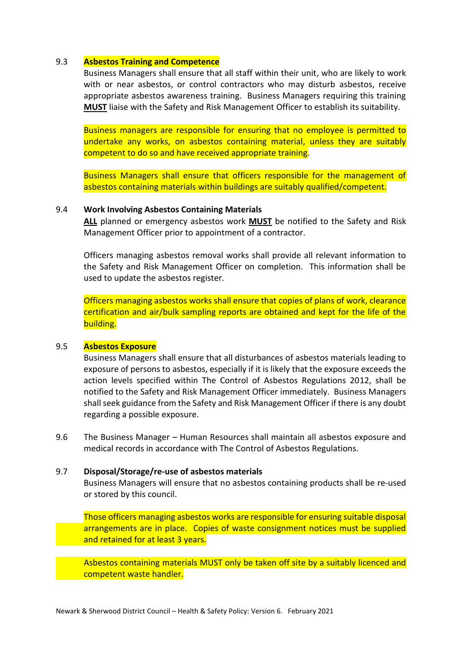#### 9.3 **Asbestos Training and Competence**

Business Managers shall ensure that all staff within their unit, who are likely to work with or near asbestos, or control contractors who may disturb asbestos, receive appropriate asbestos awareness training. Business Managers requiring this training **MUST** liaise with the Safety and Risk Management Officer to establish its suitability.

Business managers are responsible for ensuring that no employee is permitted to undertake any works, on asbestos containing material, unless they are suitably competent to do so and have received appropriate training.

Business Managers shall ensure that officers responsible for the management of asbestos containing materials within buildings are suitably qualified/competent.

#### 9.4 **Work Involving Asbestos Containing Materials**

**ALL** planned or emergency asbestos work **MUST** be notified to the Safety and Risk Management Officer prior to appointment of a contractor.

Officers managing asbestos removal works shall provide all relevant information to the Safety and Risk Management Officer on completion. This information shall be used to update the asbestos register.

Officers managing asbestos works shall ensure that copies of plans of work, clearance certification and air/bulk sampling reports are obtained and kept for the life of the building.

#### 9.5 **Asbestos Exposure**

Business Managers shall ensure that all disturbances of asbestos materials leading to exposure of persons to asbestos, especially if it is likely that the exposure exceeds the action levels specified within The Control of Asbestos Regulations 2012, shall be notified to the Safety and Risk Management Officer immediately. Business Managers shall seek guidance from the Safety and Risk Management Officer if there is any doubt regarding a possible exposure.

9.6 The Business Manager – Human Resources shall maintain all asbestos exposure and medical records in accordance with The Control of Asbestos Regulations.

#### 9.7 **Disposal/Storage/re-use of asbestos materials**

Business Managers will ensure that no asbestos containing products shall be re-used or stored by this council.

Those officers managing asbestos works are responsible for ensuring suitable disposal arrangements are in place. Copies of waste consignment notices must be supplied and retained for at least 3 years.

Asbestos containing materials MUST only be taken off site by a suitably licenced and competent waste handler.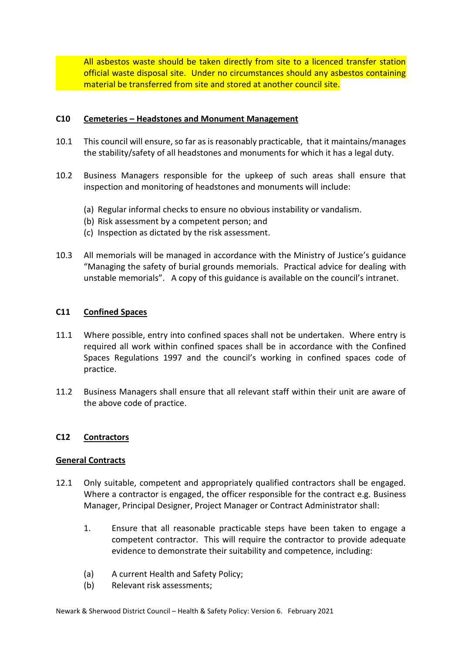All asbestos waste should be taken directly from site to a licenced transfer station official waste disposal site. Under no circumstances should any asbestos containing material be transferred from site and stored at another council site.

#### **C10 Cemeteries – Headstones and Monument Management**

- 10.1 This council will ensure, so far as is reasonably practicable, that it maintains/manages the stability/safety of all headstones and monuments for which it has a legal duty.
- 10.2 Business Managers responsible for the upkeep of such areas shall ensure that inspection and monitoring of headstones and monuments will include:
	- (a) Regular informal checks to ensure no obvious instability or vandalism.
	- (b) Risk assessment by a competent person; and
	- (c) Inspection as dictated by the risk assessment.
- 10.3 All memorials will be managed in accordance with the Ministry of Justice's guidance "Managing the safety of burial grounds memorials. Practical advice for dealing with unstable memorials". A copy of this guidance is available on the council's intranet.

# **C11 Confined Spaces**

- 11.1 Where possible, entry into confined spaces shall not be undertaken. Where entry is required all work within confined spaces shall be in accordance with the Confined Spaces Regulations 1997 and the council's working in confined spaces code of practice.
- 11.2 Business Managers shall ensure that all relevant staff within their unit are aware of the above code of practice.

#### **C12 Contractors**

#### **General Contracts**

- 12.1 Only suitable, competent and appropriately qualified contractors shall be engaged. Where a contractor is engaged, the officer responsible for the contract e.g. Business Manager, Principal Designer, Project Manager or Contract Administrator shall:
	- 1. Ensure that all reasonable practicable steps have been taken to engage a competent contractor. This will require the contractor to provide adequate evidence to demonstrate their suitability and competence, including:
	- (a) A current Health and Safety Policy;
	- (b) Relevant risk assessments;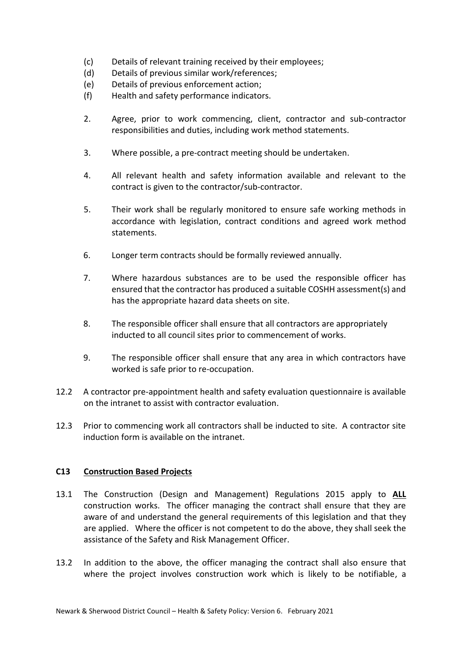- (c) Details of relevant training received by their employees;
- (d) Details of previous similar work/references;
- (e) Details of previous enforcement action;
- (f) Health and safety performance indicators.
- 2. Agree, prior to work commencing, client, contractor and sub-contractor responsibilities and duties, including work method statements.
- 3. Where possible, a pre-contract meeting should be undertaken.
- 4. All relevant health and safety information available and relevant to the contract is given to the contractor/sub-contractor.
- 5. Their work shall be regularly monitored to ensure safe working methods in accordance with legislation, contract conditions and agreed work method statements.
- 6. Longer term contracts should be formally reviewed annually.
- 7. Where hazardous substances are to be used the responsible officer has ensured that the contractor has produced a suitable COSHH assessment(s) and has the appropriate hazard data sheets on site.
- 8. The responsible officer shall ensure that all contractors are appropriately inducted to all council sites prior to commencement of works.
- 9. The responsible officer shall ensure that any area in which contractors have worked is safe prior to re-occupation.
- 12.2 A contractor pre-appointment health and safety evaluation questionnaire is available on the intranet to assist with contractor evaluation.
- 12.3 Prior to commencing work all contractors shall be inducted to site. A contractor site induction form is available on the intranet.

#### **C13 Construction Based Projects**

- 13.1 The Construction (Design and Management) Regulations 2015 apply to **ALL**  construction works. The officer managing the contract shall ensure that they are aware of and understand the general requirements of this legislation and that they are applied. Where the officer is not competent to do the above, they shall seek the assistance of the Safety and Risk Management Officer.
- 13.2 In addition to the above, the officer managing the contract shall also ensure that where the project involves construction work which is likely to be notifiable, a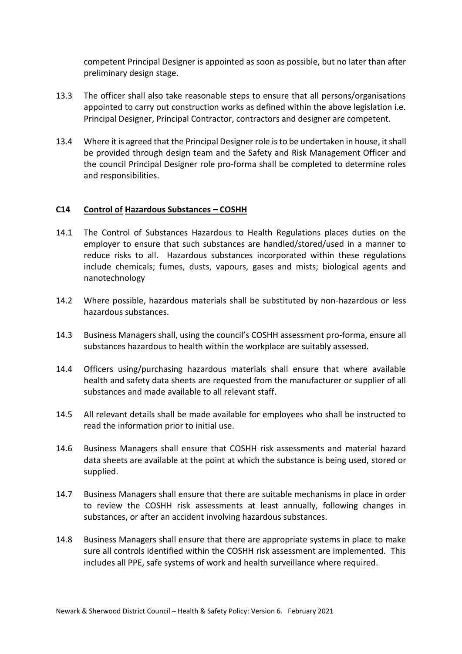competent Principal Designer is appointed as soon as possible, but no later than after preliminary design stage.

- 13.3 The officer shall also take reasonable steps to ensure that all persons/organisations appointed to carry out construction works as defined within the above legislation i.e. Principal Designer, Principal Contractor, contractors and designer are competent.
- 13.4 Where it is agreed that the Principal Designer role is to be undertaken in house, it shall be provided through design team and the Safety and Risk Management Officer and the council Principal Designer role pro-forma shall be completed to determine roles and responsibilities.

#### **C14 Control of Hazardous Substances – COSHH**

- 14.1 The Control of Substances Hazardous to Health Regulations places duties on the employer to ensure that such substances are handled/stored/used in a manner to reduce risks to all. Hazardous substances incorporated within these regulations include chemicals; fumes, dusts, vapours, gases and mists; biological agents and nanotechnology
- 14.2 Where possible, hazardous materials shall be substituted by non-hazardous or less hazardous substances.
- 14.3 Business Managers shall, using the council's COSHH assessment pro-forma, ensure all substances hazardous to health within the workplace are suitably assessed.
- 14.4 Officers using/purchasing hazardous materials shall ensure that where available health and safety data sheets are requested from the manufacturer or supplier of all substances and made available to all relevant staff.
- 14.5 All relevant details shall be made available for employees who shall be instructed to read the information prior to initial use.
- 14.6 Business Managers shall ensure that COSHH risk assessments and material hazard data sheets are available at the point at which the substance is being used, stored or supplied.
- 14.7 Business Managers shall ensure that there are suitable mechanisms in place in order to review the COSHH risk assessments at least annually, following changes in substances, or after an accident involving hazardous substances.
- 14.8 Business Managers shall ensure that there are appropriate systems in place to make sure all controls identified within the COSHH risk assessment are implemented. This includes all PPE, safe systems of work and health surveillance where required.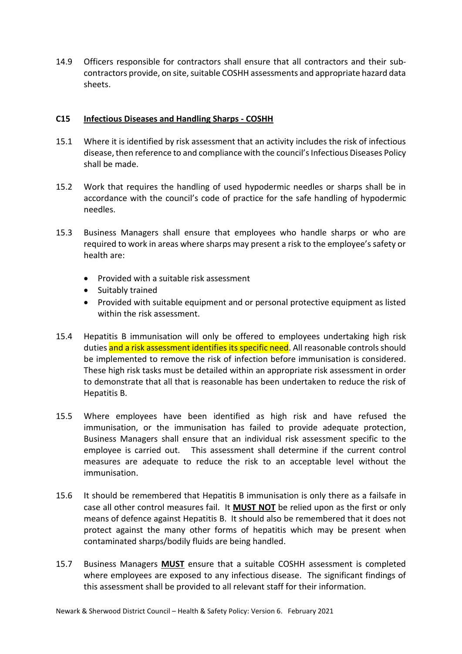14.9 Officers responsible for contractors shall ensure that all contractors and their subcontractors provide, on site, suitable COSHH assessments and appropriate hazard data sheets.

#### **C15 Infectious Diseases and Handling Sharps - COSHH**

- 15.1 Where it is identified by risk assessment that an activity includes the risk of infectious disease, then reference to and compliance with the council's Infectious Diseases Policy shall be made.
- 15.2 Work that requires the handling of used hypodermic needles or sharps shall be in accordance with the council's code of practice for the safe handling of hypodermic needles.
- 15.3 Business Managers shall ensure that employees who handle sharps or who are required to work in areas where sharps may present a risk to the employee's safety or health are:
	- Provided with a suitable risk assessment
	- Suitably trained
	- Provided with suitable equipment and or personal protective equipment as listed within the risk assessment.
- 15.4 Hepatitis B immunisation will only be offered to employees undertaking high risk duties and a risk assessment identifies its specific need. All reasonable controls should be implemented to remove the risk of infection before immunisation is considered. These high risk tasks must be detailed within an appropriate risk assessment in order to demonstrate that all that is reasonable has been undertaken to reduce the risk of Hepatitis B.
- 15.5 Where employees have been identified as high risk and have refused the immunisation, or the immunisation has failed to provide adequate protection, Business Managers shall ensure that an individual risk assessment specific to the employee is carried out. This assessment shall determine if the current control measures are adequate to reduce the risk to an acceptable level without the immunisation.
- 15.6 It should be remembered that Hepatitis B immunisation is only there as a failsafe in case all other control measures fail. It **MUST NOT** be relied upon as the first or only means of defence against Hepatitis B. It should also be remembered that it does not protect against the many other forms of hepatitis which may be present when contaminated sharps/bodily fluids are being handled.
- 15.7 Business Managers **MUST** ensure that a suitable COSHH assessment is completed where employees are exposed to any infectious disease. The significant findings of this assessment shall be provided to all relevant staff for their information.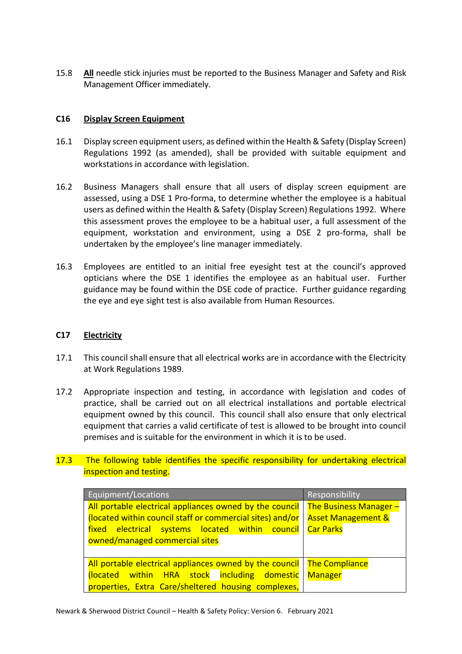15.8 **All** needle stick injuries must be reported to the Business Manager and Safety and Risk Management Officer immediately.

#### **C16 Display Screen Equipment**

- 16.1 Display screen equipment users, as defined within the Health & Safety (Display Screen) Regulations 1992 (as amended), shall be provided with suitable equipment and workstations in accordance with legislation.
- 16.2 Business Managers shall ensure that all users of display screen equipment are assessed, using a DSE 1 Pro-forma, to determine whether the employee is a habitual users as defined within the Health & Safety (Display Screen) Regulations 1992. Where this assessment proves the employee to be a habitual user, a full assessment of the equipment, workstation and environment, using a DSE 2 pro-forma, shall be undertaken by the employee's line manager immediately.
- 16.3 Employees are entitled to an initial free eyesight test at the council's approved opticians where the DSE 1 identifies the employee as an habitual user. Further guidance may be found within the DSE code of practice. Further guidance regarding the eye and eye sight test is also available from Human Resources.

#### **C17 Electricity**

- 17.1 This council shall ensure that all electrical works are in accordance with the Electricity at Work Regulations 1989.
- 17.2 Appropriate inspection and testing, in accordance with legislation and codes of practice, shall be carried out on all electrical installations and portable electrical equipment owned by this council. This council shall also ensure that only electrical equipment that carries a valid certificate of test is allowed to be brought into council premises and is suitable for the environment in which it is to be used.

# 17.3 The following table identifies the specific responsibility for undertaking electrical inspection and testing.

| Equipment/Locations                                                              | Responsibility                |
|----------------------------------------------------------------------------------|-------------------------------|
| All portable electrical appliances owned by the council   The Business Manager – |                               |
| (located within council staff or commercial sites) and/or                        | <b>Asset Management &amp;</b> |
| fixed electrical systems located within council                                  | <b>Car Parks</b>              |
| owned/managed commercial sites                                                   |                               |
|                                                                                  |                               |
| All portable electrical appliances owned by the council   The Compliance         |                               |
| (located within HRA stock including domestic                                     | <b>Manager</b>                |
| properties, Extra Care/sheltered housing complexes,                              |                               |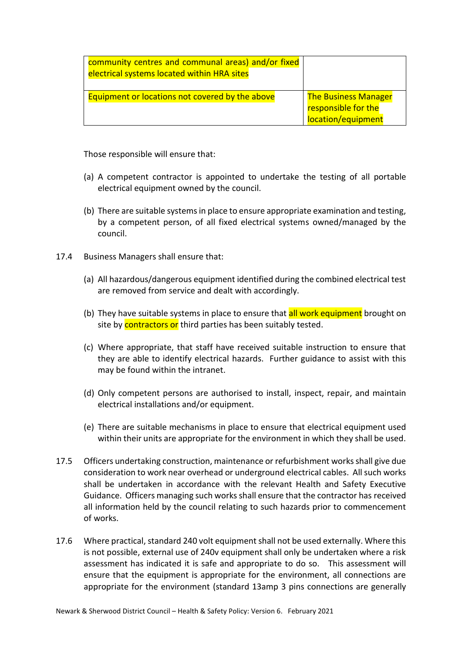| community centres and communal areas) and/or fixed<br>electrical systems located within HRA sites |                             |
|---------------------------------------------------------------------------------------------------|-----------------------------|
| Equipment or locations not covered by the above                                                   | <b>The Business Manager</b> |
|                                                                                                   | responsible for the         |
|                                                                                                   | location/equipment          |

Those responsible will ensure that:

- (a) A competent contractor is appointed to undertake the testing of all portable electrical equipment owned by the council.
- (b) There are suitable systems in place to ensure appropriate examination and testing, by a competent person, of all fixed electrical systems owned/managed by the council.
- 17.4 Business Managers shall ensure that:
	- (a) All hazardous/dangerous equipment identified during the combined electrical test are removed from service and dealt with accordingly.
	- (b) They have suitable systems in place to ensure that all work equipment brought on site by contractors or third parties has been suitably tested.
	- (c) Where appropriate, that staff have received suitable instruction to ensure that they are able to identify electrical hazards. Further guidance to assist with this may be found within the intranet.
	- (d) Only competent persons are authorised to install, inspect, repair, and maintain electrical installations and/or equipment.
	- (e) There are suitable mechanisms in place to ensure that electrical equipment used within their units are appropriate for the environment in which they shall be used.
- 17.5 Officers undertaking construction, maintenance or refurbishment works shall give due consideration to work near overhead or underground electrical cables. All such works shall be undertaken in accordance with the relevant Health and Safety Executive Guidance. Officers managing such works shall ensure that the contractor has received all information held by the council relating to such hazards prior to commencement of works.
- 17.6 Where practical, standard 240 volt equipment shall not be used externally. Where this is not possible, external use of 240v equipment shall only be undertaken where a risk assessment has indicated it is safe and appropriate to do so. This assessment will ensure that the equipment is appropriate for the environment, all connections are appropriate for the environment (standard 13amp 3 pins connections are generally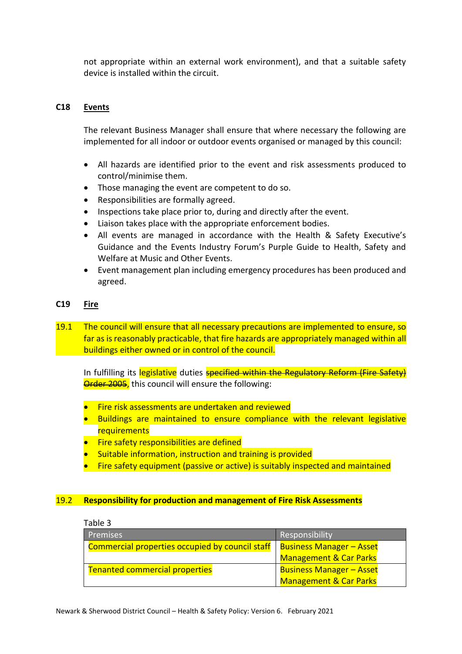not appropriate within an external work environment), and that a suitable safety device is installed within the circuit.

#### **C18 Events**

The relevant Business Manager shall ensure that where necessary the following are implemented for all indoor or outdoor events organised or managed by this council:

- All hazards are identified prior to the event and risk assessments produced to control/minimise them.
- Those managing the event are competent to do so.
- Responsibilities are formally agreed.
- Inspections take place prior to, during and directly after the event.
- Liaison takes place with the appropriate enforcement bodies.
- All events are managed in accordance with the Health & Safety Executive's Guidance and the Events Industry Forum's Purple Guide to Health, Safety and Welfare at Music and Other Events.
- Event management plan including emergency procedures has been produced and agreed.

# **C19 Fire**

19.1 The council will ensure that all necessary precautions are implemented to ensure, so far as is reasonably practicable, that fire hazards are appropriately managed within all buildings either owned or in control of the council.

In fulfilling its legislative duties **specified within the Regulatory Reform (Fire Safety) Order 2005,** this council will ensure the following:

- **•** Fire risk assessments are undertaken and reviewed
- Buildings are maintained to ensure compliance with the relevant legislative requirements
- **•** Fire safety responsibilities are defined
- Suitable information, instruction and training is provided
- Fire safety equipment (passive or active) is suitably inspected and maintained

#### 19.2 **Responsibility for production and management of Fire Risk Assessments**

Table 3

| <b>Premises</b>                                 | Responsibility                    |
|-------------------------------------------------|-----------------------------------|
| Commercial properties occupied by council staff | <b>Business Manager - Asset</b>   |
|                                                 | <b>Management &amp; Car Parks</b> |
| <b>Tenanted commercial properties</b>           | <b>Business Manager - Asset</b>   |
|                                                 | <b>Management &amp; Car Parks</b> |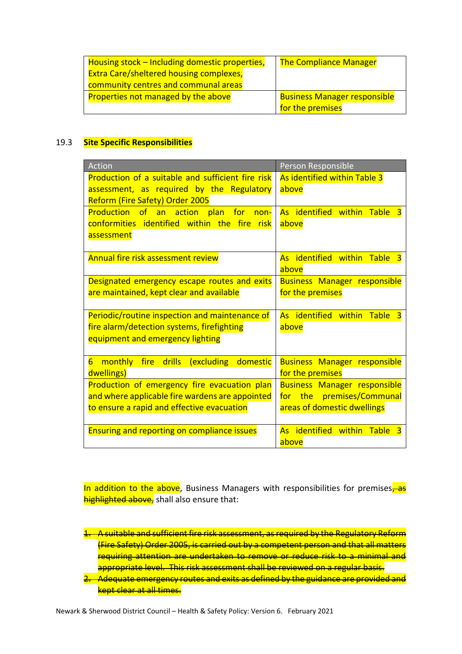| Housing stock - Including domestic properties, | <b>The Compliance Manager</b>       |
|------------------------------------------------|-------------------------------------|
| <b>Extra Care/sheltered housing complexes,</b> |                                     |
| community centres and communal areas           |                                     |
| Properties not managed by the above            | <b>Business Manager responsible</b> |
|                                                | for the premises                    |

#### 19.3 **Site Specific Responsibilities**

| Action                                                                                                                                        | Person Responsible                                                                              |
|-----------------------------------------------------------------------------------------------------------------------------------------------|-------------------------------------------------------------------------------------------------|
| Production of a suitable and sufficient fire risk<br>assessment, as required by the Regulatory<br>Reform (Fire Safety) Order 2005             | As identified within Table 3<br>above                                                           |
| Production of an action plan<br><b>for</b><br>non-<br>conformities identified within the fire<br><u>nisk</u><br>assessment                    | As identified within Table 3<br>above                                                           |
| Annual fire risk assessment review                                                                                                            | As identified within Table 3<br>above                                                           |
| Designated emergency escape routes and exits<br>are maintained, kept clear and available                                                      | <b>Business Manager responsible</b><br>for the premises                                         |
| Periodic/routine inspection and maintenance of<br>fire alarm/detection systems, firefighting<br>equipment and emergency lighting              | As identified within Table<br>$\overline{\mathbf{3}}$<br>above                                  |
| $6\overline{6}$<br>monthly fire drills<br>(excluding domestic<br>dwellings)                                                                   | <b>Business Manager responsible</b><br>for the premises                                         |
| Production of emergency fire evacuation plan<br>and where applicable fire wardens are appointed<br>to ensure a rapid and effective evacuation | <b>Business Manager responsible</b><br>for the premises/Communal<br>areas of domestic dwellings |
| <b>Ensuring and reporting on compliance issues</b>                                                                                            | As identified within<br><b>Table</b><br>3<br>above                                              |

In addition to the above, Business Managers with responsibilities for premises, as highlighted above, shall also ensure that:

- 1. A suitable and sufficient fire risk assessment, as required by the Regulatory Reform (Fire Safety) Order 2005, is carried out by a competent person and that all matters requiring attention are undertaken to remove or reduce risk to a minimal and appropriate level. This risk assessment shall be reviewed on a regular basis.
- 2. Adequate emergency routes and exits as defined by the guidance are provided and kept clear at all times.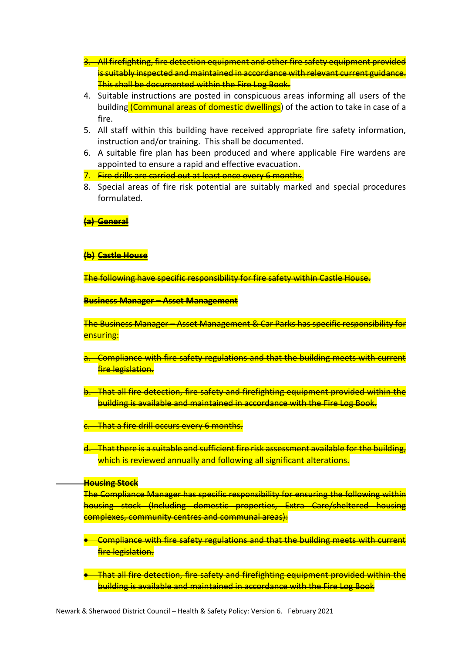- 3. All firefighting, fire detection equipment and other fire safety equipment provided is suitably inspected and maintained in accordance with relevant current guidance. This shall be documented within the Fire Log Book.
- 4. Suitable instructions are posted in conspicuous areas informing all users of the building (Communal areas of domestic dwellings) of the action to take in case of a fire.
- 5. All staff within this building have received appropriate fire safety information, instruction and/or training. This shall be documented.
- 6. A suitable fire plan has been produced and where applicable Fire wardens are appointed to ensure a rapid and effective evacuation.
- 7. Fire drills are carried out at least once every 6 months.
- 8. Special areas of fire risk potential are suitably marked and special procedures formulated.
- **(a) General**
- **(b) Castle House**

The following have specific responsibility for fire safety within Castle House.

**Business Manager – Asset Management**

The Business Manager – Asset Management & Car Parks has specific responsibility for ensuring:

- a. Compliance with fire safety regulations and that the building meets with current fire legislation.
- b. That all fire detection, fire safety and firefighting equipment provided within the building is available and maintained in accordance with the Fire Log Book.
- That a fire drill occurs every 6 months.
- d. That there is a suitable and sufficient fire risk assessment available for the building, which is reviewed annually and following all significant alterations.

#### **Housing Stock**

The Compliance Manager has specific responsibility for ensuring the following within housing stock (Including domestic properties, Extra Care/sheltered housing complexes, community centres and communal areas):

- Compliance with fire safety regulations and that the building meets with current fire legislation.
- **•** That all fire detection, fire safety and firefighting equipment provided within the building is available and maintained in accordance with the Fire Log Book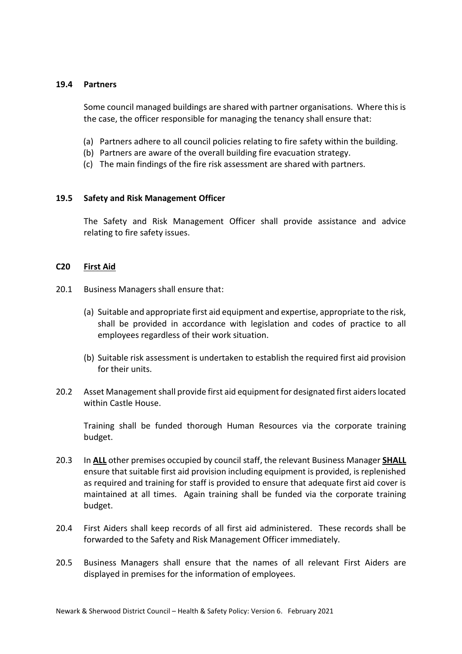#### **19.4 Partners**

Some council managed buildings are shared with partner organisations. Where this is the case, the officer responsible for managing the tenancy shall ensure that:

- (a) Partners adhere to all council policies relating to fire safety within the building.
- (b) Partners are aware of the overall building fire evacuation strategy.
- (c) The main findings of the fire risk assessment are shared with partners.

#### **19.5 Safety and Risk Management Officer**

The Safety and Risk Management Officer shall provide assistance and advice relating to fire safety issues.

#### **C20 First Aid**

- 20.1 Business Managers shall ensure that:
	- (a) Suitable and appropriate first aid equipment and expertise, appropriate to the risk, shall be provided in accordance with legislation and codes of practice to all employees regardless of their work situation.
	- (b) Suitable risk assessment is undertaken to establish the required first aid provision for their units.
- 20.2 Asset Management shall provide first aid equipment for designated first aiders located within Castle House.

Training shall be funded thorough Human Resources via the corporate training budget.

- 20.3 In **ALL** other premises occupied by council staff, the relevant Business Manager **SHALL** ensure that suitable first aid provision including equipment is provided, is replenished as required and training for staff is provided to ensure that adequate first aid cover is maintained at all times. Again training shall be funded via the corporate training budget.
- 20.4 First Aiders shall keep records of all first aid administered. These records shall be forwarded to the Safety and Risk Management Officer immediately.
- 20.5 Business Managers shall ensure that the names of all relevant First Aiders are displayed in premises for the information of employees.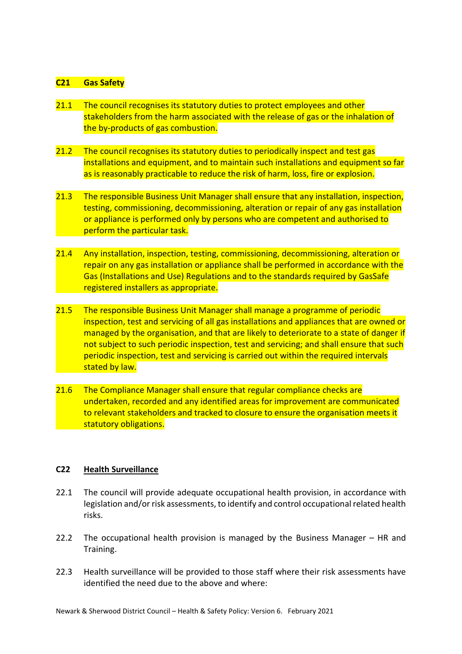#### **C21 Gas Safety**

- 21.1 The council recognises its statutory duties to protect employees and other stakeholders from the harm associated with the release of gas or the inhalation of the by-products of gas combustion.
- 21.2 The council recognises its statutory duties to periodically inspect and test gas installations and equipment, and to maintain such installations and equipment so far as is reasonably practicable to reduce the risk of harm, loss, fire or explosion.
- 21.3 The responsible Business Unit Manager shall ensure that any installation, inspection, testing, commissioning, decommissioning, alteration or repair of any gas installation or appliance is performed only by persons who are competent and authorised to perform the particular task.
- 21.4 Any installation, inspection, testing, commissioning, decommissioning, alteration or repair on any gas installation or appliance shall be performed in accordance with the Gas (Installations and Use) Regulations and to the standards required by GasSafe registered installers as appropriate.
- 21.5 The responsible Business Unit Manager shall manage a programme of periodic inspection, test and servicing of all gas installations and appliances that are owned or managed by the organisation, and that are likely to deteriorate to a state of danger if not subject to such periodic inspection, test and servicing; and shall ensure that such periodic inspection, test and servicing is carried out within the required intervals stated by law.
- 21.6 The Compliance Manager shall ensure that regular compliance checks are undertaken, recorded and any identified areas for improvement are communicated to relevant stakeholders and tracked to closure to ensure the organisation meets it statutory obligations.

#### **C22 Health Surveillance**

- 22.1 The council will provide adequate occupational health provision, in accordance with legislation and/or risk assessments, to identify and control occupational related health risks.
- 22.2 The occupational health provision is managed by the Business Manager HR and Training.
- 22.3 Health surveillance will be provided to those staff where their risk assessments have identified the need due to the above and where: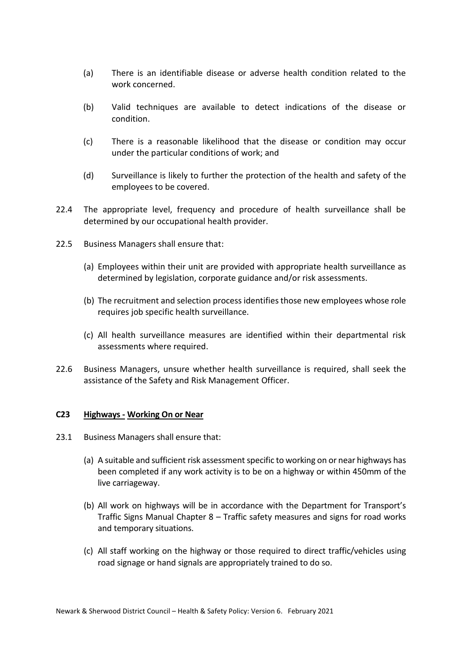- (a) There is an identifiable disease or adverse health condition related to the work concerned.
- (b) Valid techniques are available to detect indications of the disease or condition.
- (c) There is a reasonable likelihood that the disease or condition may occur under the particular conditions of work; and
- (d) Surveillance is likely to further the protection of the health and safety of the employees to be covered.
- 22.4 The appropriate level, frequency and procedure of health surveillance shall be determined by our occupational health provider.
- 22.5 Business Managers shall ensure that:
	- (a) Employees within their unit are provided with appropriate health surveillance as determined by legislation, corporate guidance and/or risk assessments.
	- (b) The recruitment and selection process identifies those new employees whose role requires job specific health surveillance.
	- (c) All health surveillance measures are identified within their departmental risk assessments where required.
- 22.6 Business Managers, unsure whether health surveillance is required, shall seek the assistance of the Safety and Risk Management Officer.

#### **C23 Highways - Working On or Near**

- 23.1 Business Managers shall ensure that:
	- (a) A suitable and sufficient risk assessment specific to working on or near highways has been completed if any work activity is to be on a highway or within 450mm of the live carriageway.
	- (b) All work on highways will be in accordance with the Department for Transport's Traffic Signs Manual Chapter 8 – Traffic safety measures and signs for road works and temporary situations.
	- (c) All staff working on the highway or those required to direct traffic/vehicles using road signage or hand signals are appropriately trained to do so.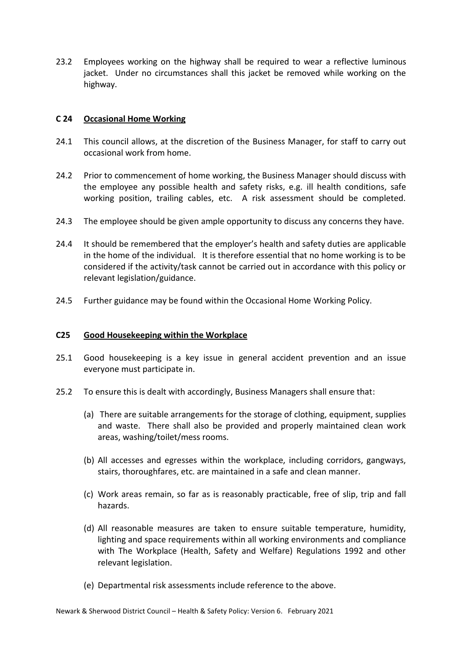23.2 Employees working on the highway shall be required to wear a reflective luminous jacket. Under no circumstances shall this jacket be removed while working on the highway.

#### **C 24 Occasional Home Working**

- 24.1 This council allows, at the discretion of the Business Manager, for staff to carry out occasional work from home.
- 24.2 Prior to commencement of home working, the Business Manager should discuss with the employee any possible health and safety risks, e.g. ill health conditions, safe working position, trailing cables, etc. A risk assessment should be completed.
- 24.3 The employee should be given ample opportunity to discuss any concerns they have.
- 24.4 It should be remembered that the employer's health and safety duties are applicable in the home of the individual. It is therefore essential that no home working is to be considered if the activity/task cannot be carried out in accordance with this policy or relevant legislation/guidance.
- 24.5 Further guidance may be found within the Occasional Home Working Policy.

#### **C25 Good Housekeeping within the Workplace**

- 25.1 Good housekeeping is a key issue in general accident prevention and an issue everyone must participate in.
- 25.2 To ensure this is dealt with accordingly, Business Managers shall ensure that:
	- (a) There are suitable arrangements for the storage of clothing, equipment, supplies and waste. There shall also be provided and properly maintained clean work areas, washing/toilet/mess rooms.
	- (b) All accesses and egresses within the workplace, including corridors, gangways, stairs, thoroughfares, etc. are maintained in a safe and clean manner.
	- (c) Work areas remain, so far as is reasonably practicable, free of slip, trip and fall hazards.
	- (d) All reasonable measures are taken to ensure suitable temperature, humidity, lighting and space requirements within all working environments and compliance with The Workplace (Health, Safety and Welfare) Regulations 1992 and other relevant legislation.
	- (e) Departmental risk assessments include reference to the above.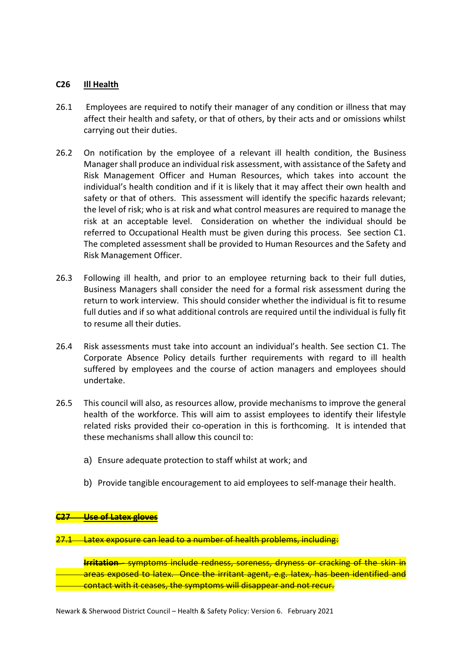#### **C26 Ill Health**

- 26.1 Employees are required to notify their manager of any condition or illness that may affect their health and safety, or that of others, by their acts and or omissions whilst carrying out their duties.
- 26.2 On notification by the employee of a relevant ill health condition, the Business Manager shall produce an individual risk assessment, with assistance of the Safety and Risk Management Officer and Human Resources, which takes into account the individual's health condition and if it is likely that it may affect their own health and safety or that of others. This assessment will identify the specific hazards relevant; the level of risk; who is at risk and what control measures are required to manage the risk at an acceptable level. Consideration on whether the individual should be referred to Occupational Health must be given during this process. See section C1. The completed assessment shall be provided to Human Resources and the Safety and Risk Management Officer.
- 26.3 Following ill health, and prior to an employee returning back to their full duties, Business Managers shall consider the need for a formal risk assessment during the return to work interview. This should consider whether the individual is fit to resume full duties and if so what additional controls are required until the individual is fully fit to resume all their duties.
- 26.4 Risk assessments must take into account an individual's health. See section C1. The Corporate Absence Policy details further requirements with regard to ill health suffered by employees and the course of action managers and employees should undertake.
- 26.5 This council will also, as resources allow, provide mechanisms to improve the general health of the workforce. This will aim to assist employees to identify their lifestyle related risks provided their co-operation in this is forthcoming. It is intended that these mechanisms shall allow this council to:
	- a) Ensure adequate protection to staff whilst at work; and
	- b) Provide tangible encouragement to aid employees to self-manage their health.

#### **C27 Use of Latex gloves**

27.1 Latex exposure can lead to a number of health problems, including:

**Irritation** - symptoms include redness, soreness, dryness or cracking of the skin in areas exposed to latex. Once the irritant agent, e.g. latex, has been identified and contact with it ceases, the symptoms will disappear and not recur.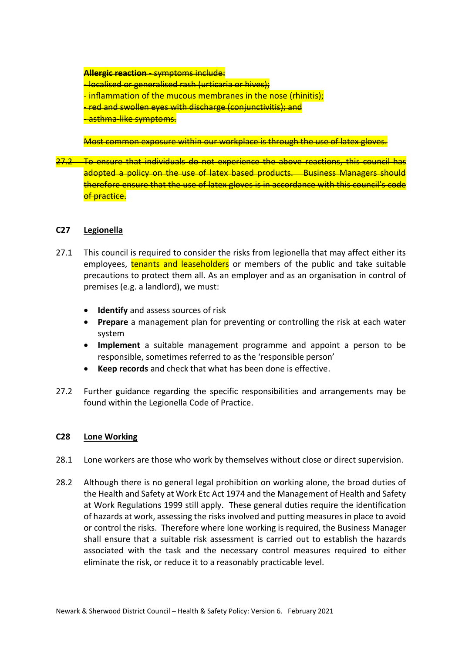**Allergic reaction** - symptoms include: - localised or generalised rash (urticaria or hives); - inflammation of the mucous membranes in the nose (rhinitis); - red and swollen eyes with discharge (conjunctivitis); and <mark>-asthma-like symptoms.</mark>

Most common exposure within our workplace is through the use of latex gloves.

To ensure that individuals do not experience the above reactions, this council has adopted a policy on the use of latex based products. Business Managers should therefore ensure that the use of latex gloves is in accordance with this council's code of practice.

#### **C27 Legionella**

- 27.1 This council is required to consider the risks from legionella that may affect either its employees, tenants and leaseholders or members of the public and take suitable precautions to protect them all. As an employer and as an organisation in control of premises (e.g. a landlord), we must:
	- **Identify** and assess sources of risk
	- **Prepare** a management plan for preventing or controlling the risk at each water system
	- **Implement** a suitable management programme and appoint a person to be responsible, sometimes referred to as the 'responsible person'
	- **Keep records** and check that what has been done is effective.
- 27.2 Further guidance regarding the specific responsibilities and arrangements may be found within the Legionella Code of Practice.

#### **C28 Lone Working**

- 28.1 Lone workers are those who work by themselves without close or direct supervision.
- 28.2 Although there is no general legal prohibition on working alone, the broad duties of the Health and Safety at Work Etc Act 1974 and the Management of Health and Safety at Work Regulations 1999 still apply. These general duties require the identification of hazards at work, assessing the risks involved and putting measures in place to avoid or control the risks. Therefore where lone working is required, the Business Manager shall ensure that a suitable risk assessment is carried out to establish the hazards associated with the task and the necessary control measures required to either eliminate the risk, or reduce it to a reasonably practicable level.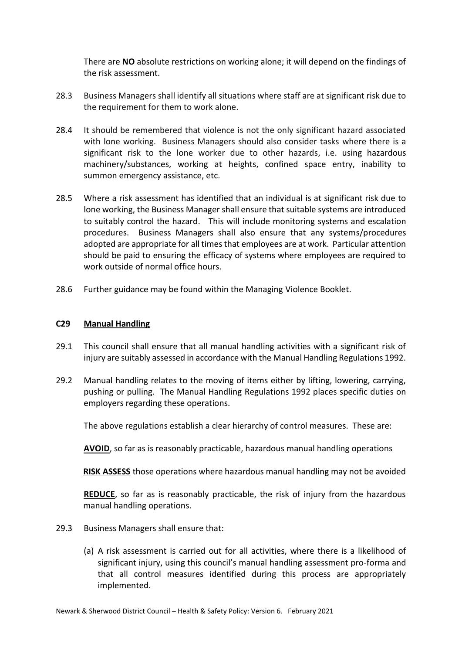There are **NO** absolute restrictions on working alone; it will depend on the findings of the risk assessment.

- 28.3 Business Managers shall identify all situations where staff are at significant risk due to the requirement for them to work alone.
- 28.4 It should be remembered that violence is not the only significant hazard associated with lone working. Business Managers should also consider tasks where there is a significant risk to the lone worker due to other hazards, i.e. using hazardous machinery/substances, working at heights, confined space entry, inability to summon emergency assistance, etc.
- 28.5 Where a risk assessment has identified that an individual is at significant risk due to lone working, the Business Manager shall ensure that suitable systems are introduced to suitably control the hazard. This will include monitoring systems and escalation procedures. Business Managers shall also ensure that any systems/procedures adopted are appropriate for all times that employees are at work. Particular attention should be paid to ensuring the efficacy of systems where employees are required to work outside of normal office hours.
- 28.6 Further guidance may be found within the Managing Violence Booklet.

# **C29 Manual Handling**

- 29.1 This council shall ensure that all manual handling activities with a significant risk of injury are suitably assessed in accordance with the Manual Handling Regulations 1992.
- 29.2 Manual handling relates to the moving of items either by lifting, lowering, carrying, pushing or pulling. The Manual Handling Regulations 1992 places specific duties on employers regarding these operations.

The above regulations establish a clear hierarchy of control measures. These are:

**AVOID**, so far as is reasonably practicable, hazardous manual handling operations

**RISK ASSESS** those operations where hazardous manual handling may not be avoided

**REDUCE**, so far as is reasonably practicable, the risk of injury from the hazardous manual handling operations.

- 29.3 Business Managers shall ensure that:
	- (a) A risk assessment is carried out for all activities, where there is a likelihood of significant injury, using this council's manual handling assessment pro-forma and that all control measures identified during this process are appropriately implemented.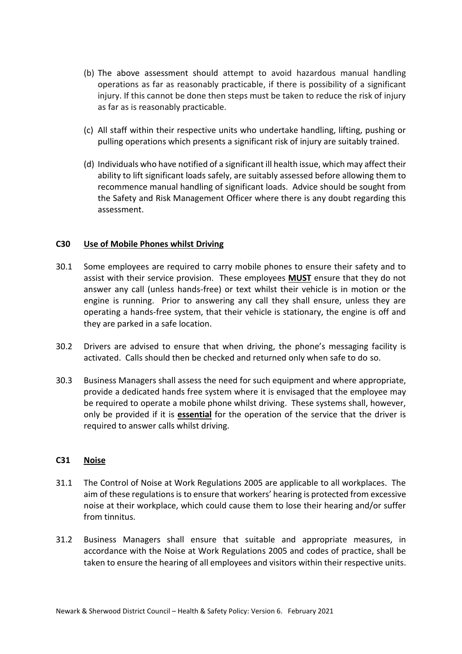- (b) The above assessment should attempt to avoid hazardous manual handling operations as far as reasonably practicable, if there is possibility of a significant injury. If this cannot be done then steps must be taken to reduce the risk of injury as far as is reasonably practicable.
- (c) All staff within their respective units who undertake handling, lifting, pushing or pulling operations which presents a significant risk of injury are suitably trained.
- (d) Individuals who have notified of a significant ill health issue, which may affect their ability to lift significant loads safely, are suitably assessed before allowing them to recommence manual handling of significant loads. Advice should be sought from the Safety and Risk Management Officer where there is any doubt regarding this assessment.

#### **C30 Use of Mobile Phones whilst Driving**

- 30.1 Some employees are required to carry mobile phones to ensure their safety and to assist with their service provision. These employees **MUST** ensure that they do not answer any call (unless hands-free) or text whilst their vehicle is in motion or the engine is running. Prior to answering any call they shall ensure, unless they are operating a hands-free system, that their vehicle is stationary, the engine is off and they are parked in a safe location.
- 30.2 Drivers are advised to ensure that when driving, the phone's messaging facility is activated. Calls should then be checked and returned only when safe to do so.
- 30.3 Business Managers shall assess the need for such equipment and where appropriate, provide a dedicated hands free system where it is envisaged that the employee may be required to operate a mobile phone whilst driving. These systems shall, however, only be provided if it is **essential** for the operation of the service that the driver is required to answer calls whilst driving.

#### **C31 Noise**

- 31.1 The Control of Noise at Work Regulations 2005 are applicable to all workplaces. The aim of these regulations is to ensure that workers' hearing is protected from excessive noise at their workplace, which could cause them to lose their hearing and/or suffer from tinnitus.
- 31.2 Business Managers shall ensure that suitable and appropriate measures, in accordance with the Noise at Work Regulations 2005 and codes of practice, shall be taken to ensure the hearing of all employees and visitors within their respective units.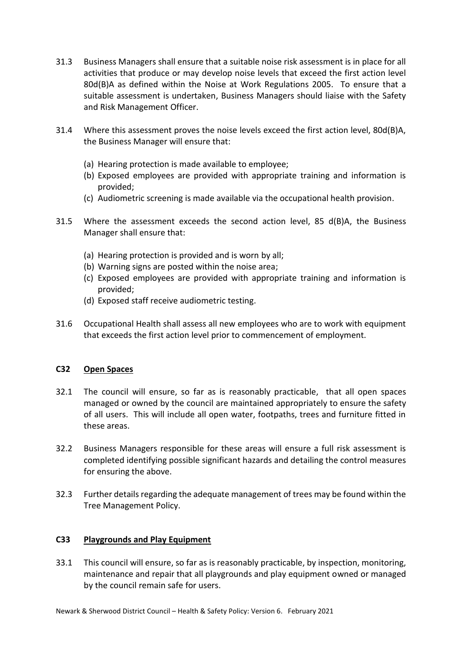- 31.3 Business Managers shall ensure that a suitable noise risk assessment is in place for all activities that produce or may develop noise levels that exceed the first action level 80d(B)A as defined within the Noise at Work Regulations 2005. To ensure that a suitable assessment is undertaken, Business Managers should liaise with the Safety and Risk Management Officer.
- 31.4 Where this assessment proves the noise levels exceed the first action level, 80d(B)A, the Business Manager will ensure that:
	- (a) Hearing protection is made available to employee;
	- (b) Exposed employees are provided with appropriate training and information is provided;
	- (c) Audiometric screening is made available via the occupational health provision.
- 31.5 Where the assessment exceeds the second action level, 85 d(B)A, the Business Manager shall ensure that:
	- (a) Hearing protection is provided and is worn by all;
	- (b) Warning signs are posted within the noise area;
	- (c) Exposed employees are provided with appropriate training and information is provided;
	- (d) Exposed staff receive audiometric testing.
- 31.6 Occupational Health shall assess all new employees who are to work with equipment that exceeds the first action level prior to commencement of employment.

#### **C32 Open Spaces**

- 32.1 The council will ensure, so far as is reasonably practicable, that all open spaces managed or owned by the council are maintained appropriately to ensure the safety of all users. This will include all open water, footpaths, trees and furniture fitted in these areas.
- 32.2 Business Managers responsible for these areas will ensure a full risk assessment is completed identifying possible significant hazards and detailing the control measures for ensuring the above.
- 32.3 Further details regarding the adequate management of trees may be found within the Tree Management Policy.

#### **C33 Playgrounds and Play Equipment**

33.1 This council will ensure, so far as is reasonably practicable, by inspection, monitoring, maintenance and repair that all playgrounds and play equipment owned or managed by the council remain safe for users.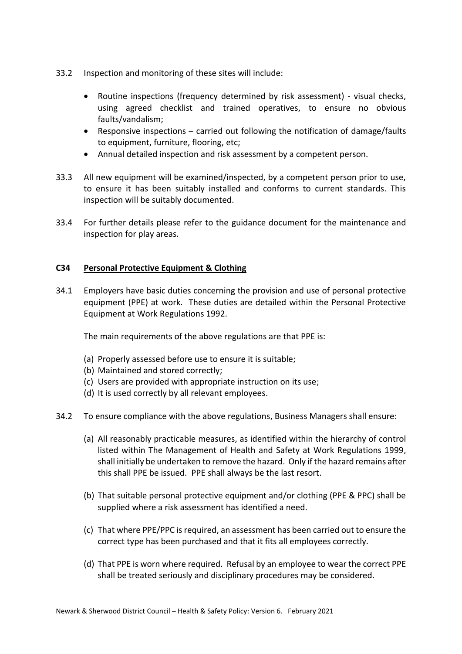- 33.2 Inspection and monitoring of these sites will include:
	- Routine inspections (frequency determined by risk assessment) visual checks, using agreed checklist and trained operatives, to ensure no obvious faults/vandalism;
	- Responsive inspections carried out following the notification of damage/faults to equipment, furniture, flooring, etc;
	- Annual detailed inspection and risk assessment by a competent person.
- 33.3 All new equipment will be examined/inspected, by a competent person prior to use, to ensure it has been suitably installed and conforms to current standards. This inspection will be suitably documented.
- 33.4 For further details please refer to the guidance document for the maintenance and inspection for play areas.

# **C34 Personal Protective Equipment & Clothing**

34.1 Employers have basic duties concerning the provision and use of personal protective equipment (PPE) at work. These duties are detailed within the Personal Protective Equipment at Work Regulations 1992.

The main requirements of the above regulations are that PPE is:

- (a) Properly assessed before use to ensure it is suitable;
- (b) Maintained and stored correctly;
- (c) Users are provided with appropriate instruction on its use;
- (d) It is used correctly by all relevant employees.
- 34.2 To ensure compliance with the above regulations, Business Managers shall ensure:
	- (a) All reasonably practicable measures, as identified within the hierarchy of control listed within The Management of Health and Safety at Work Regulations 1999, shall initially be undertaken to remove the hazard. Only if the hazard remains after this shall PPE be issued. PPE shall always be the last resort.
	- (b) That suitable personal protective equipment and/or clothing (PPE & PPC) shall be supplied where a risk assessment has identified a need.
	- (c) That where PPE/PPC is required, an assessment has been carried out to ensure the correct type has been purchased and that it fits all employees correctly.
	- (d) That PPE is worn where required. Refusal by an employee to wear the correct PPE shall be treated seriously and disciplinary procedures may be considered.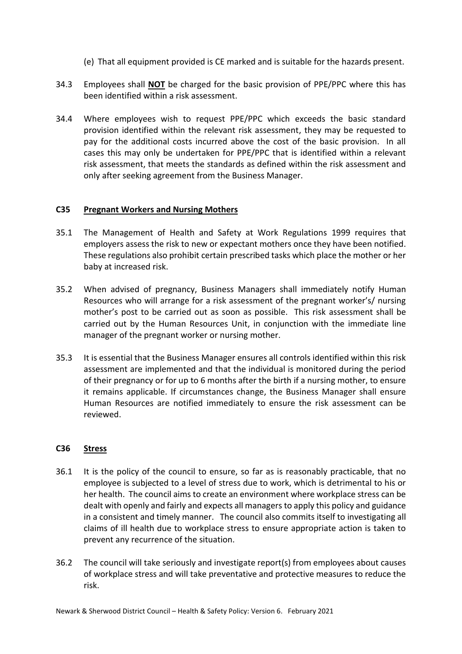- (e) That all equipment provided is CE marked and is suitable for the hazards present.
- 34.3 Employees shall **NOT** be charged for the basic provision of PPE/PPC where this has been identified within a risk assessment.
- 34.4 Where employees wish to request PPE/PPC which exceeds the basic standard provision identified within the relevant risk assessment, they may be requested to pay for the additional costs incurred above the cost of the basic provision. In all cases this may only be undertaken for PPE/PPC that is identified within a relevant risk assessment, that meets the standards as defined within the risk assessment and only after seeking agreement from the Business Manager.

#### **C35 Pregnant Workers and Nursing Mothers**

- 35.1 The Management of Health and Safety at Work Regulations 1999 requires that employers assess the risk to new or expectant mothers once they have been notified. These regulations also prohibit certain prescribed tasks which place the mother or her baby at increased risk.
- 35.2 When advised of pregnancy, Business Managers shall immediately notify Human Resources who will arrange for a risk assessment of the pregnant worker's/ nursing mother's post to be carried out as soon as possible. This risk assessment shall be carried out by the Human Resources Unit, in conjunction with the immediate line manager of the pregnant worker or nursing mother.
- 35.3 It is essential that the Business Manager ensures all controls identified within this risk assessment are implemented and that the individual is monitored during the period of their pregnancy or for up to 6 months after the birth if a nursing mother, to ensure it remains applicable. If circumstances change, the Business Manager shall ensure Human Resources are notified immediately to ensure the risk assessment can be reviewed.

# **C36 Stress**

- 36.1 It is the policy of the council to ensure, so far as is reasonably practicable, that no employee is subjected to a level of stress due to work, which is detrimental to his or her health. The council aims to create an environment where workplace stress can be dealt with openly and fairly and expects all managers to apply this policy and guidance in a consistent and timely manner. The council also commits itself to investigating all claims of ill health due to workplace stress to ensure appropriate action is taken to prevent any recurrence of the situation.
- 36.2 The council will take seriously and investigate report(s) from employees about causes of workplace stress and will take preventative and protective measures to reduce the risk.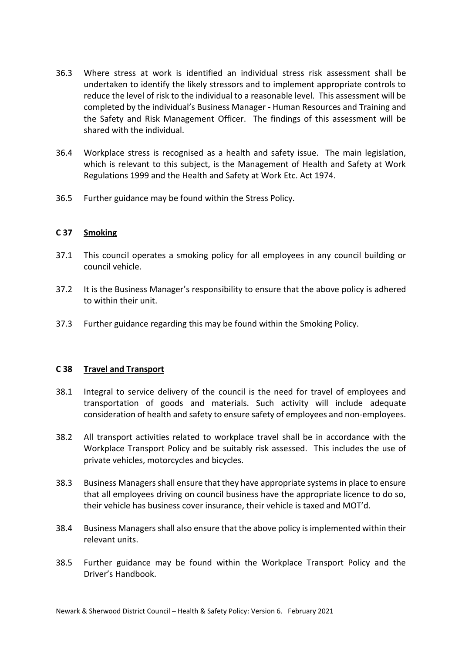- 36.3 Where stress at work is identified an individual stress risk assessment shall be undertaken to identify the likely stressors and to implement appropriate controls to reduce the level of risk to the individual to a reasonable level. This assessment will be completed by the individual's Business Manager - Human Resources and Training and the Safety and Risk Management Officer. The findings of this assessment will be shared with the individual.
- 36.4 Workplace stress is recognised as a health and safety issue. The main legislation, which is relevant to this subject, is the Management of Health and Safety at Work Regulations 1999 and the Health and Safety at Work Etc. Act 1974.
- 36.5 Further guidance may be found within the Stress Policy.

#### **C 37 Smoking**

- 37.1 This council operates a smoking policy for all employees in any council building or council vehicle.
- 37.2 It is the Business Manager's responsibility to ensure that the above policy is adhered to within their unit.
- 37.3 Further guidance regarding this may be found within the Smoking Policy.

#### **C 38 Travel and Transport**

- 38.1 Integral to service delivery of the council is the need for travel of employees and transportation of goods and materials. Such activity will include adequate consideration of health and safety to ensure safety of employees and non-employees.
- 38.2 All transport activities related to workplace travel shall be in accordance with the Workplace Transport Policy and be suitably risk assessed. This includes the use of private vehicles, motorcycles and bicycles.
- 38.3 Business Managers shall ensure that they have appropriate systems in place to ensure that all employees driving on council business have the appropriate licence to do so, their vehicle has business cover insurance, their vehicle is taxed and MOT'd.
- 38.4 Business Managers shall also ensure that the above policy is implemented within their relevant units.
- 38.5 Further guidance may be found within the Workplace Transport Policy and the Driver's Handbook.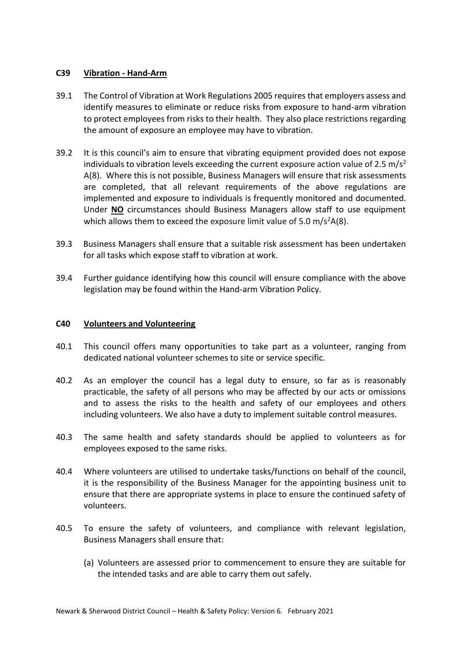#### **C39 Vibration - Hand-Arm**

- 39.1 The Control of Vibration at Work Regulations 2005 requires that employers assess and identify measures to eliminate or reduce risks from exposure to hand-arm vibration to protect employees from risks to their health. They also place restrictions regarding the amount of exposure an employee may have to vibration.
- 39.2 It is this council's aim to ensure that vibrating equipment provided does not expose individuals to vibration levels exceeding the current exposure action value of 2.5 m/s<sup>2</sup> A(8). Where this is not possible, Business Managers will ensure that risk assessments are completed, that all relevant requirements of the above regulations are implemented and exposure to individuals is frequently monitored and documented. Under **NO** circumstances should Business Managers allow staff to use equipment which allows them to exceed the exposure limit value of 5.0 m/s<sup>2</sup>A(8).
- 39.3 Business Managers shall ensure that a suitable risk assessment has been undertaken for all tasks which expose staff to vibration at work.
- 39.4 Further guidance identifying how this council will ensure compliance with the above legislation may be found within the Hand-arm Vibration Policy.

#### **C40 Volunteers and Volunteering**

- 40.1 This council offers many opportunities to take part as a volunteer, ranging from dedicated national volunteer schemes to site or service specific.
- 40.2 As an employer the council has a legal duty to ensure, so far as is reasonably practicable, the safety of all persons who may be affected by our acts or omissions and to assess the risks to the health and safety of our employees and others including volunteers. We also have a duty to implement suitable control measures.
- 40.3 The same health and safety standards should be applied to volunteers as for employees exposed to the same risks.
- 40.4 Where volunteers are utilised to undertake tasks/functions on behalf of the council, it is the responsibility of the Business Manager for the appointing business unit to ensure that there are appropriate systems in place to ensure the continued safety of volunteers.
- 40.5 To ensure the safety of volunteers, and compliance with relevant legislation, Business Managers shall ensure that:
	- (a) Volunteers are assessed prior to commencement to ensure they are suitable for the intended tasks and are able to carry them out safely.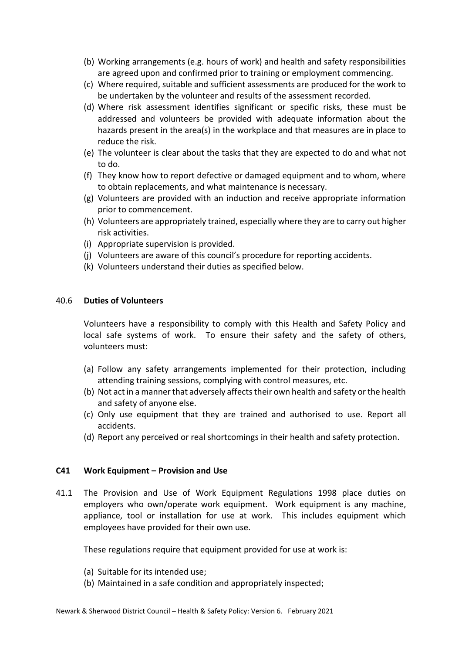- (b) Working arrangements (e.g. hours of work) and health and safety responsibilities are agreed upon and confirmed prior to training or employment commencing.
- (c) Where required, suitable and sufficient assessments are produced for the work to be undertaken by the volunteer and results of the assessment recorded.
- (d) Where risk assessment identifies significant or specific risks, these must be addressed and volunteers be provided with adequate information about the hazards present in the area(s) in the workplace and that measures are in place to reduce the risk.
- (e) The volunteer is clear about the tasks that they are expected to do and what not to do.
- (f) They know how to report defective or damaged equipment and to whom, where to obtain replacements, and what maintenance is necessary.
- (g) Volunteers are provided with an induction and receive appropriate information prior to commencement.
- (h) Volunteers are appropriately trained, especially where they are to carry out higher risk activities.
- (i) Appropriate supervision is provided.
- (j) Volunteers are aware of this council's procedure for reporting accidents.
- (k) Volunteers understand their duties as specified below.

#### 40.6 **Duties of Volunteers**

Volunteers have a responsibility to comply with this Health and Safety Policy and local safe systems of work. To ensure their safety and the safety of others, volunteers must:

- (a) Follow any safety arrangements implemented for their protection, including attending training sessions, complying with control measures, etc.
- (b) Not act in a manner that adversely affects their own health and safety or the health and safety of anyone else.
- (c) Only use equipment that they are trained and authorised to use. Report all accidents.
- (d) Report any perceived or real shortcomings in their health and safety protection.

#### **C41 Work Equipment – Provision and Use**

41.1 The Provision and Use of Work Equipment Regulations 1998 place duties on employers who own/operate work equipment. Work equipment is any machine, appliance, tool or installation for use at work. This includes equipment which employees have provided for their own use.

These regulations require that equipment provided for use at work is:

- (a) Suitable for its intended use;
- (b) Maintained in a safe condition and appropriately inspected;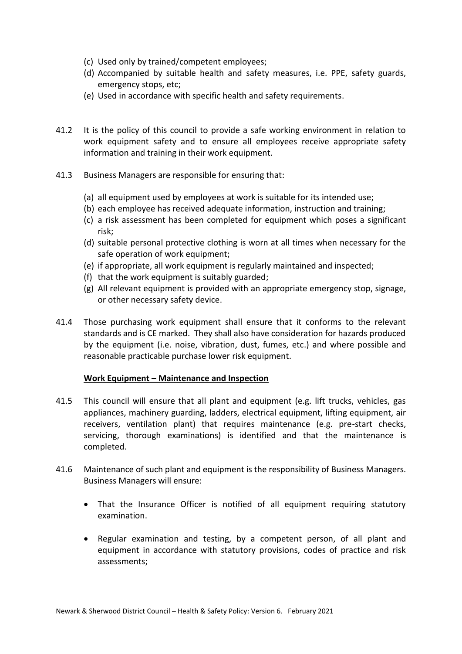- (c) Used only by trained/competent employees;
- (d) Accompanied by suitable health and safety measures, i.e. PPE, safety guards, emergency stops, etc;
- (e) Used in accordance with specific health and safety requirements.
- 41.2 It is the policy of this council to provide a safe working environment in relation to work equipment safety and to ensure all employees receive appropriate safety information and training in their work equipment.
- 41.3 Business Managers are responsible for ensuring that:
	- (a) all equipment used by employees at work is suitable for its intended use;
	- (b) each employee has received adequate information, instruction and training;
	- (c) a risk assessment has been completed for equipment which poses a significant risk;
	- (d) suitable personal protective clothing is worn at all times when necessary for the safe operation of work equipment;
	- (e) if appropriate, all work equipment is regularly maintained and inspected;
	- (f) that the work equipment is suitably guarded;
	- (g) All relevant equipment is provided with an appropriate emergency stop, signage, or other necessary safety device.
- 41.4 Those purchasing work equipment shall ensure that it conforms to the relevant standards and is CE marked. They shall also have consideration for hazards produced by the equipment (i.e. noise, vibration, dust, fumes, etc.) and where possible and reasonable practicable purchase lower risk equipment.

#### **Work Equipment – Maintenance and Inspection**

- 41.5 This council will ensure that all plant and equipment (e.g. lift trucks, vehicles, gas appliances, machinery guarding, ladders, electrical equipment, lifting equipment, air receivers, ventilation plant) that requires maintenance (e.g. pre-start checks, servicing, thorough examinations) is identified and that the maintenance is completed.
- 41.6 Maintenance of such plant and equipment is the responsibility of Business Managers. Business Managers will ensure:
	- That the Insurance Officer is notified of all equipment requiring statutory examination.
	- Regular examination and testing, by a competent person, of all plant and equipment in accordance with statutory provisions, codes of practice and risk assessments;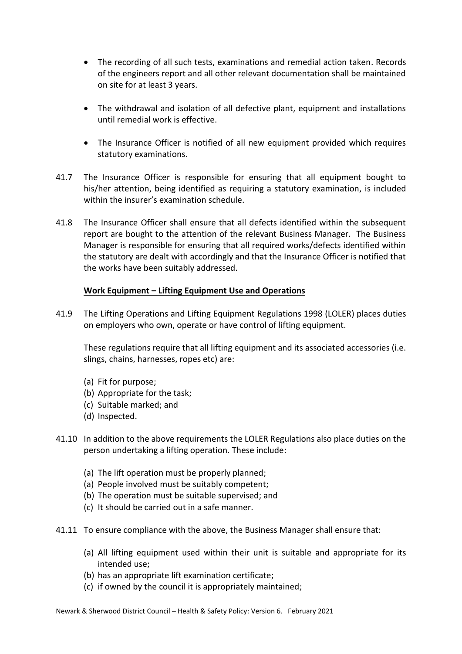- The recording of all such tests, examinations and remedial action taken. Records of the engineers report and all other relevant documentation shall be maintained on site for at least 3 years.
- The withdrawal and isolation of all defective plant, equipment and installations until remedial work is effective.
- The Insurance Officer is notified of all new equipment provided which requires statutory examinations.
- 41.7 The Insurance Officer is responsible for ensuring that all equipment bought to his/her attention, being identified as requiring a statutory examination, is included within the insurer's examination schedule.
- 41.8 The Insurance Officer shall ensure that all defects identified within the subsequent report are bought to the attention of the relevant Business Manager. The Business Manager is responsible for ensuring that all required works/defects identified within the statutory are dealt with accordingly and that the Insurance Officer is notified that the works have been suitably addressed.

#### **Work Equipment – Lifting Equipment Use and Operations**

41.9 The Lifting Operations and Lifting Equipment Regulations 1998 (LOLER) places duties on employers who own, operate or have control of lifting equipment.

These regulations require that all lifting equipment and its associated accessories (i.e. slings, chains, harnesses, ropes etc) are:

- (a) Fit for purpose;
- (b) Appropriate for the task;
- (c) Suitable marked; and
- (d) Inspected.
- 41.10 In addition to the above requirements the LOLER Regulations also place duties on the person undertaking a lifting operation. These include:
	- (a) The lift operation must be properly planned;
	- (a) People involved must be suitably competent;
	- (b) The operation must be suitable supervised; and
	- (c) It should be carried out in a safe manner.
- 41.11 To ensure compliance with the above, the Business Manager shall ensure that:
	- (a) All lifting equipment used within their unit is suitable and appropriate for its intended use;
	- (b) has an appropriate lift examination certificate;
	- (c) if owned by the council it is appropriately maintained;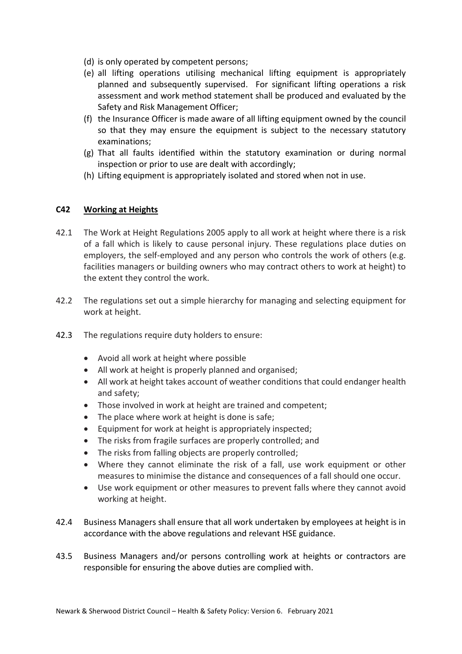- (d) is only operated by competent persons;
- (e) all lifting operations utilising mechanical lifting equipment is appropriately planned and subsequently supervised. For significant lifting operations a risk assessment and work method statement shall be produced and evaluated by the Safety and Risk Management Officer;
- (f) the Insurance Officer is made aware of all lifting equipment owned by the council so that they may ensure the equipment is subject to the necessary statutory examinations;
- (g) That all faults identified within the statutory examination or during normal inspection or prior to use are dealt with accordingly;
- (h) Lifting equipment is appropriately isolated and stored when not in use.

# **C42 Working at Heights**

- 42.1 The Work at Height Regulations 2005 apply to all work at height where there is a risk of a fall which is likely to cause personal injury. These regulations place duties on employers, the self-employed and any person who controls the work of others (e.g. facilities managers or building owners who may contract others to work at height) to the extent they control the work.
- 42.2 The regulations set out a simple hierarchy for managing and selecting equipment for work at height.
- 42.3 The regulations require duty holders to ensure:
	- Avoid all work at height where possible
	- All work at height is properly planned and organised;
	- All work at height takes account of weather conditions that could endanger health and safety;
	- Those involved in work at height are trained and competent;
	- The place where work at height is done is safe;
	- Equipment for work at height is appropriately inspected;
	- The risks from fragile surfaces are properly controlled; and
	- The risks from falling objects are properly controlled;
	- Where they cannot eliminate the risk of a fall, use work equipment or other measures to minimise the distance and consequences of a fall should one occur.
	- Use work equipment or other measures to prevent falls where they cannot avoid working at height.
- 42.4 Business Managers shall ensure that all work undertaken by employees at height is in accordance with the above regulations and relevant HSE guidance.
- 43.5 Business Managers and/or persons controlling work at heights or contractors are responsible for ensuring the above duties are complied with.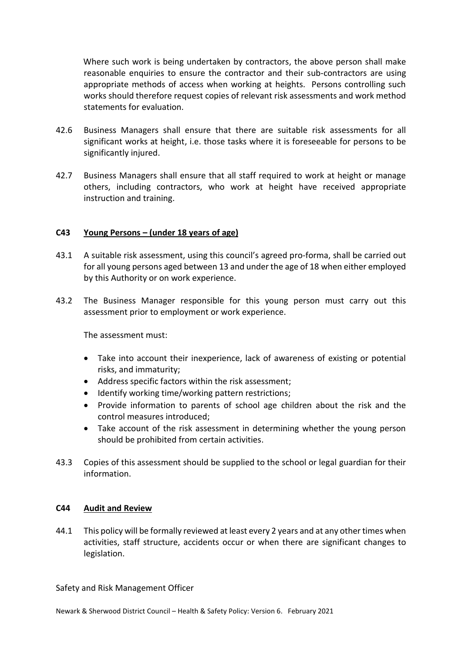Where such work is being undertaken by contractors, the above person shall make reasonable enquiries to ensure the contractor and their sub-contractors are using appropriate methods of access when working at heights. Persons controlling such works should therefore request copies of relevant risk assessments and work method statements for evaluation.

- 42.6 Business Managers shall ensure that there are suitable risk assessments for all significant works at height, i.e. those tasks where it is foreseeable for persons to be significantly injured.
- 42.7 Business Managers shall ensure that all staff required to work at height or manage others, including contractors, who work at height have received appropriate instruction and training.

# **C43 Young Persons – (under 18 years of age)**

- 43.1 A suitable risk assessment, using this council's agreed pro-forma, shall be carried out for all young persons aged between 13 and under the age of 18 when either employed by this Authority or on work experience.
- 43.2 The Business Manager responsible for this young person must carry out this assessment prior to employment or work experience.

The assessment must:

- Take into account their inexperience, lack of awareness of existing or potential risks, and immaturity;
- Address specific factors within the risk assessment;
- Identify working time/working pattern restrictions;
- Provide information to parents of school age children about the risk and the control measures introduced;
- Take account of the risk assessment in determining whether the young person should be prohibited from certain activities.
- 43.3 Copies of this assessment should be supplied to the school or legal guardian for their information.

#### **C44 Audit and Review**

44.1 This policy will be formally reviewed at least every 2 years and at any other times when activities, staff structure, accidents occur or when there are significant changes to legislation.

Safety and Risk Management Officer